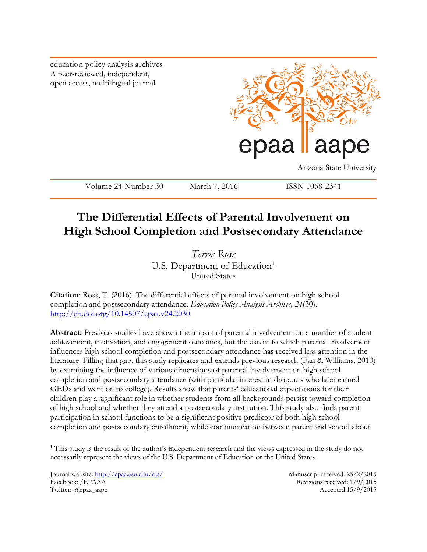education policy analysis archives A peer-reviewed, independent, open access, multilingual journal



Arizona State University

Volume 24 Number 30 March 7, 2016 ISSN 1068-2341

# **The Differential Effects of Parental Involvement on High School Completion and Postsecondary Attendance**

*Terris Ross* U.S. Department of Education<sup>1</sup> United States

**Citation**: Ross, T. (2016). The differential effects of parental involvement on high school completion and postsecondary attendance. *Education Policy Analysis Archives, 24*(30). <http://dx.doi.org/10.14507/epaa.v24.2030>

**Abstract:** Previous studies have shown the impact of parental involvement on a number of student achievement, motivation, and engagement outcomes, but the extent to which parental involvement influences high school completion and postsecondary attendance has received less attention in the literature. Filling that gap, this study replicates and extends previous research (Fan & Williams, 2010) by examining the influence of various dimensions of parental involvement on high school completion and postsecondary attendance (with particular interest in dropouts who later earned GEDs and went on to college). Results show that parents' educational expectations for their children play a significant role in whether students from all backgrounds persist toward completion of high school and whether they attend a postsecondary institution. This study also finds parent participation in school functions to be a significant positive predictor of both high school completion and postsecondary enrollment, while communication between parent and school about

Journal website:<http://epaa.asu.edu/ojs/> Manuscript received: 25/2/2015 Facebook: /EPAAA Revisions received: 1/9/2015 Twitter: @epaa\_aape Accepted:15/9/2015

 $\overline{a}$ 

<sup>&</sup>lt;sup>1</sup> This study is the result of the author's independent research and the views expressed in the study do not necessarily represent the views of the U.S. Department of Education or the United States.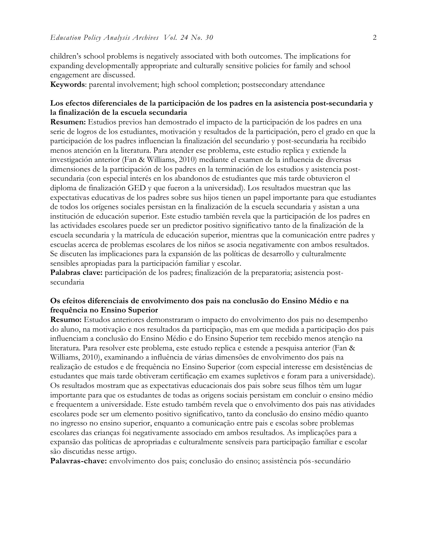children's school problems is negatively associated with both outcomes. The implications for expanding developmentally appropriate and culturally sensitive policies for family and school engagement are discussed.

**Keywords**: parental involvement; high school completion; postsecondary attendance

## **Los efectos diferenciales de la participación de los padres en la asistencia post-secundaria y la finalización de la escuela secundaria**

**Resumen:** Estudios previos han demostrado el impacto de la participación de los padres en una serie de logros de los estudiantes, motivación y resultados de la participación, pero el grado en que la participación de los padres influencian la finalización del secundario y post-secundaria ha recibido menos atención en la literatura. Para atender ese problema, este estudio replica y extiende la investigación anterior (Fan & Williams, 2010) mediante el examen de la influencia de diversas dimensiones de la participación de los padres en la terminación de los estudios y asistencia postsecundaria (con especial interés en los abandonos de estudiantes que más tarde obtuvieron el diploma de finalización GED y que fueron a la universidad). Los resultados muestran que las expectativas educativas de los padres sobre sus hijos tienen un papel importante para que estudiantes de todos los orígenes sociales persistan en la finalización de la escuela secundaria y asistan a una institución de educación superior. Este estudio también revela que la participación de los padres en las actividades escolares puede ser un predictor positivo significativo tanto de la finalización de la escuela secundaria y la matrícula de educación superior, mientras que la comunicación entre padres y escuelas acerca de problemas escolares de los niños se asocia negativamente con ambos resultados. Se discuten las implicaciones para la expansión de las políticas de desarrollo y culturalmente sensibles apropiadas para la participación familiar y escolar.

**Palabras clave:** participación de los padres; finalización de la preparatoria; asistencia postsecundaria

#### **Os efeitos diferenciais de envolvimento dos pais na conclusão do Ensino Médio e na frequência no Ensino Superior**

**Resumo:** Estudos anteriores demonstraram o impacto do envolvimento dos pais no desempenho do aluno, na motivação e nos resultados da participação, mas em que medida a participação dos pais influenciam a conclusão do Ensino Médio e do Ensino Superior tem recebido menos atenção na literatura. Para resolver este problema, este estudo replica e estende a pesquisa anterior (Fan & Williams, 2010), examinando a influência de várias dimensões de envolvimento dos pais na realização de estudos e de frequência no Ensino Superior (com especial interesse em desistências de estudantes que mais tarde obtiveram certificação em exames supletivos e foram para a universidade). Os resultados mostram que as expectativas educacionais dos pais sobre seus filhos têm um lugar importante para que os estudantes de todas as origens sociais persistam em concluir o ensino médio e frequentem a universidade. Este estudo também revela que o envolvimento dos pais nas atividades escolares pode ser um elemento positivo significativo, tanto da conclusão do ensino médio quanto no ingresso no ensino superior, enquanto a comunicação entre pais e escolas sobre problemas escolares das crianças foi negativamente associado em ambos resultados. As implicações para a expansão das políticas de apropriadas e culturalmente sensíveis para participação familiar e escolar são discutidas nesse artigo.

**Palavras-chave:** envolvimento dos pais; conclusão do ensino; assistência pós-secundário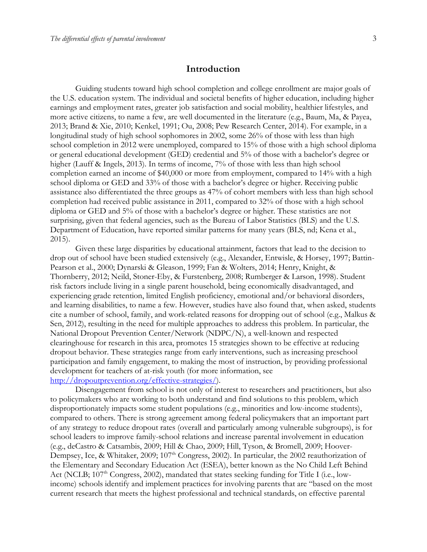## **Introduction**

Guiding students toward high school completion and college enrollment are major goals of the U.S. education system. The individual and societal benefits of higher education, including higher earnings and employment rates, greater job satisfaction and social mobility, healthier lifestyles, and more active citizens, to name a few, are well documented in the literature (e.g., Baum, Ma, & Payea, 2013; Brand & Xie, 2010; Kenkel, 1991; Ou, 2008; Pew Research Center, 2014). For example, in a longitudinal study of high school sophomores in 2002, some 26% of those with less than high school completion in 2012 were unemployed, compared to 15% of those with a high school diploma or general educational development (GED) credential and 5% of those with a bachelor's degree or higher (Lauff & Ingels, 2013). In terms of income, 7% of those with less than high school completion earned an income of \$40,000 or more from employment, compared to 14% with a high school diploma or GED and 33% of those with a bachelor's degree or higher. Receiving public assistance also differentiated the three groups as 47% of cohort members with less than high school completion had received public assistance in 2011, compared to 32% of those with a high school diploma or GED and 5% of those with a bachelor's degree or higher. These statistics are not surprising, given that federal agencies, such as the Bureau of Labor Statistics (BLS) and the U.S. Department of Education, have reported similar patterns for many years (BLS, nd; Kena et al., 2015).

Given these large disparities by educational attainment, factors that lead to the decision to drop out of school have been studied extensively (e.g., Alexander, Entwisle, & Horsey, 1997; Battin-Pearson et al., 2000; Dynarski & Gleason, 1999; Fan & Wolters, 2014; Henry, Knight, & Thornberry, 2012; Neild, Stoner-Eby, & Furstenberg, 2008; Rumberger & Larson, 1998). Student risk factors include living in a single parent household, being economically disadvantaged, and experiencing grade retention, limited English proficiency, emotional and/or behavioral disorders, and learning disabilities, to name a few. However, studies have also found that, when asked, students cite a number of school, family, and work-related reasons for dropping out of school (e.g., Malkus & Sen, 2012), resulting in the need for multiple approaches to address this problem. In particular, the National Dropout Prevention Center/Network (NDPC/N), a well-known and respected clearinghouse for research in this area, promotes 15 strategies shown to be effective at reducing dropout behavior. These strategies range from early interventions, such as increasing preschool participation and family engagement, to making the most of instruction, by providing professional development for teachers of at-risk youth (for more information, see [http://dropoutprevention.org/effective-strategies/\)](http://dropoutprevention.org/effective-strategies/).

Disengagement from school is not only of interest to researchers and practitioners, but also to policymakers who are working to both understand and find solutions to this problem, which disproportionately impacts some student populations (e.g., minorities and low-income students), compared to others. There is strong agreement among federal policymakers that an important part of any strategy to reduce dropout rates (overall and particularly among vulnerable subgroups), is for school leaders to improve family-school relations and increase parental involvement in education (e.g., deCastro & Catsambis, 2009; Hill & Chao, 2009; Hill, Tyson, & Bromell, 2009; Hoover-Dempsey, Ice, & Whitaker, 2009; 107<sup>th</sup> Congress, 2002). In particular, the 2002 reauthorization of the Elementary and Secondary Education Act (ESEA), better known as the No Child Left Behind Act (NCLB; 107<sup>th</sup> Congress, 2002), mandated that states seeking funding for Title I (i.e., lowincome) schools identify and implement practices for involving parents that are "based on the most current research that meets the highest professional and technical standards, on effective parental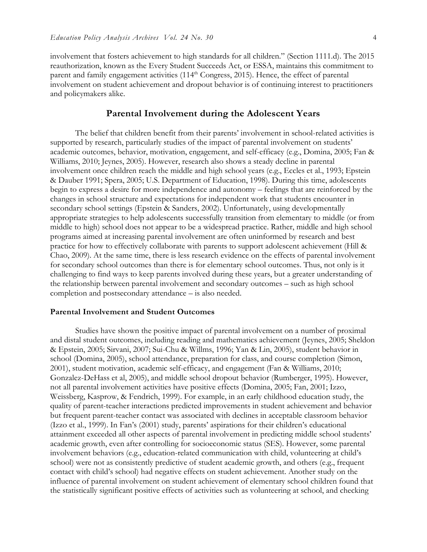involvement that fosters achievement to high standards for all children." (Section 1111.d). The 2015 reauthorization, known as the Every Student Succeeds Act, or ESSA, maintains this commitment to parent and family engagement activities  $(114<sup>th</sup> Congress, 2015)$ . Hence, the effect of parental involvement on student achievement and dropout behavior is of continuing interest to practitioners and policymakers alike.

#### **Parental Involvement during the Adolescent Years**

The belief that children benefit from their parents' involvement in school-related activities is supported by research, particularly studies of the impact of parental involvement on students' academic outcomes, behavior, motivation, engagement, and self-efficacy (e.g., Domina, 2005; Fan & Williams, 2010; Jeynes, 2005). However, research also shows a steady decline in parental involvement once children reach the middle and high school years (e.g., Eccles et al., 1993; Epstein & Dauber 1991; Spera, 2005; U.S. Department of Education, 1998). During this time, adolescents begin to express a desire for more independence and autonomy – feelings that are reinforced by the changes in school structure and expectations for independent work that students encounter in secondary school settings (Epstein & Sanders, 2002). Unfortunately, using developmentally appropriate strategies to help adolescents successfully transition from elementary to middle (or from middle to high) school does not appear to be a widespread practice. Rather, middle and high school programs aimed at increasing parental involvement are often uninformed by research and best practice for how to effectively collaborate with parents to support adolescent achievement (Hill & Chao, 2009). At the same time, there is less research evidence on the effects of parental involvement for secondary school outcomes than there is for elementary school outcomes. Thus, not only is it challenging to find ways to keep parents involved during these years, but a greater understanding of the relationship between parental involvement and secondary outcomes – such as high school completion and postsecondary attendance – is also needed.

#### **Parental Involvement and Student Outcomes**

Studies have shown the positive impact of parental involvement on a number of proximal and distal student outcomes, including reading and mathematics achievement (Jeynes, 2005; Sheldon & Epstein, 2005; Sirvani, 2007; Sui-Chu & Willms, 1996; Yan & Lin, 2005), student behavior in school (Domina, 2005), school attendance, preparation for class, and course completion (Simon, 2001), student motivation, academic self-efficacy, and engagement (Fan & Williams, 2010; Gonzalez-DeHass et al, 2005), and middle school dropout behavior (Rumberger, 1995). However, not all parental involvement activities have positive effects (Domina, 2005; Fan, 2001; Izzo, Weissberg, Kasprow, & Fendrich, 1999). For example, in an early childhood education study, the quality of parent-teacher interactions predicted improvements in student achievement and behavior but frequent parent-teacher contact was associated with declines in acceptable classroom behavior (Izzo et al., 1999). In Fan's (2001) study, parents' aspirations for their children's educational attainment exceeded all other aspects of parental involvement in predicting middle school students' academic growth, even after controlling for socioeconomic status (SES). However, some parental involvement behaviors (e.g., education-related communication with child, volunteering at child's school) were not as consistently predictive of student academic growth, and others (e.g., frequent contact with child's school) had negative effects on student achievement. Another study on the influence of parental involvement on student achievement of elementary school children found that the statistically significant positive effects of activities such as volunteering at school, and checking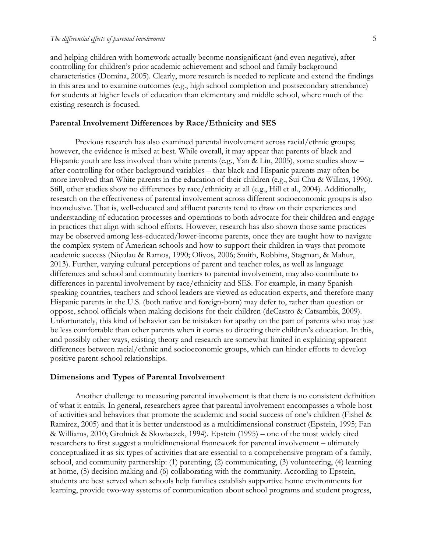and helping children with homework actually become nonsignificant (and even negative), after controlling for children's prior academic achievement and school and family background characteristics (Domina, 2005). Clearly, more research is needed to replicate and extend the findings in this area and to examine outcomes (e.g., high school completion and postsecondary attendance) for students at higher levels of education than elementary and middle school, where much of the existing research is focused.

#### **Parental Involvement Differences by Race/Ethnicity and SES**

Previous research has also examined parental involvement across racial/ethnic groups; however, the evidence is mixed at best. While overall, it may appear that parents of black and Hispanic youth are less involved than white parents (e.g., Yan & Lin, 2005), some studies show – after controlling for other background variables – that black and Hispanic parents may often be more involved than White parents in the education of their children (e.g., Sui-Chu & Willms, 1996). Still, other studies show no differences by race/ethnicity at all (e.g., Hill et al., 2004). Additionally, research on the effectiveness of parental involvement across different socioeconomic groups is also inconclusive. That is, well-educated and affluent parents tend to draw on their experiences and understanding of education processes and operations to both advocate for their children and engage in practices that align with school efforts. However, research has also shown those same practices may be observed among less-educated/lower-income parents, once they are taught how to navigate the complex system of American schools and how to support their children in ways that promote academic success (Nicolau & Ramos, 1990; Olivos, 2006; Smith, Robbins, Stagman, & Mahur, 2013). Further, varying cultural perceptions of parent and teacher roles, as well as language differences and school and community barriers to parental involvement, may also contribute to differences in parental involvement by race/ethnicity and SES. For example, in many Spanishspeaking countries, teachers and school leaders are viewed as education experts, and therefore many Hispanic parents in the U.S. (both native and foreign-born) may defer to, rather than question or oppose, school officials when making decisions for their children (deCastro & Catsambis, 2009). Unfortunately, this kind of behavior can be mistaken for apathy on the part of parents who may just be less comfortable than other parents when it comes to directing their children's education. In this, and possibly other ways, existing theory and research are somewhat limited in explaining apparent differences between racial/ethnic and socioeconomic groups, which can hinder efforts to develop positive parent-school relationships.

#### **Dimensions and Types of Parental Involvement**

Another challenge to measuring parental involvement is that there is no consistent definition of what it entails. In general, researchers agree that parental involvement encompasses a whole host of activities and behaviors that promote the academic and social success of one's children (Fishel & Ramirez, 2005) and that it is better understood as a multidimensional construct (Epstein, 1995; Fan & Williams, 2010; Grolnick & Slowiaczek, 1994). Epstein (1995) – one of the most widely cited researchers to first suggest a multidimensional framework for parental involvement – ultimately conceptualized it as six types of activities that are essential to a comprehensive program of a family, school, and community partnership: (1) parenting, (2) communicating, (3) volunteering, (4) learning at home, (5) decision making and (6) collaborating with the community. According to Epstein, students are best served when schools help families establish supportive home environments for learning, provide two-way systems of communication about school programs and student progress,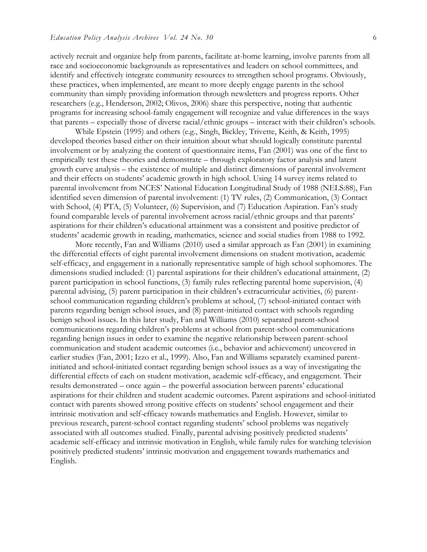actively recruit and organize help from parents, facilitate at-home learning, involve parents from all race and socioeconomic backgrounds as representatives and leaders on school committees, and identify and effectively integrate community resources to strengthen school programs. Obviously, these practices, when implemented, are meant to more deeply engage parents in the school community than simply providing information through newsletters and progress reports. Other researchers (e.g., Henderson, 2002; Olivos, 2006) share this perspective, noting that authentic programs for increasing school-family engagement will recognize and value differences in the ways that parents – especially those of diverse racial/ethnic groups – interact with their children's schools.

While Epstein (1995) and others (e.g., Singh, Bickley, Trivette, Keith, & Keith, 1995) developed theories based either on their intuition about what should logically constitute parental involvement or by analyzing the content of questionnaire items, Fan (2001) was one of the first to empirically test these theories and demonstrate – through exploratory factor analysis and latent growth curve analysis – the existence of multiple and distinct dimensions of parental involvement and their effects on students' academic growth in high school. Using 14 survey items related to parental involvement from NCES' National Education Longitudinal Study of 1988 (NELS:88), Fan identified seven dimension of parental involvement: (1) TV rules, (2) Communication, (3) Contact with School, (4) PTA, (5) Volunteer, (6) Supervision, and (7) Education Aspiration. Fan's study found comparable levels of parental involvement across racial/ethnic groups and that parents' aspirations for their children's educational attainment was a consistent and positive predictor of students' academic growth in reading, mathematics, science and social studies from 1988 to 1992.

More recently, Fan and Williams (2010) used a similar approach as Fan (2001) in examining the differential effects of eight parental involvement dimensions on student motivation, academic self-efficacy, and engagement in a nationally representative sample of high school sophomores. The dimensions studied included: (1) parental aspirations for their children's educational attainment, (2) parent participation in school functions, (3) family rules reflecting parental home supervision, (4) parental advising, (5) parent participation in their children's extracurricular activities, (6) parentschool communication regarding children's problems at school, (7) school-initiated contact with parents regarding benign school issues, and (8) parent-initiated contact with schools regarding benign school issues. In this later study, Fan and Williams (2010) separated parent-school communications regarding children's problems at school from parent-school communications regarding benign issues in order to examine the negative relationship between parent-school communication and student academic outcomes (i.e., behavior and achievement) uncovered in earlier studies (Fan, 2001; Izzo et al., 1999). Also, Fan and Williams separately examined parentinitiated and school-initiated contact regarding benign school issues as a way of investigating the differential effects of each on student motivation, academic self-efficacy, and engagement. Their results demonstrated – once again – the powerful association between parents' educational aspirations for their children and student academic outcomes. Parent aspirations and school-initiated contact with parents showed strong positive effects on students' school engagement and their intrinsic motivation and self-efficacy towards mathematics and English. However, similar to previous research, parent-school contact regarding students' school problems was negatively associated with all outcomes studied. Finally, parental advising positively predicted students' academic self-efficacy and intrinsic motivation in English, while family rules for watching television positively predicted students' intrinsic motivation and engagement towards mathematics and English.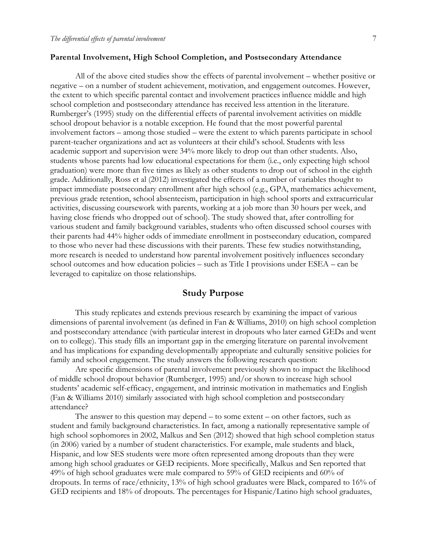#### **Parental Involvement, High School Completion, and Postsecondary Attendance**

All of the above cited studies show the effects of parental involvement – whether positive or negative – on a number of student achievement, motivation, and engagement outcomes. However, the extent to which specific parental contact and involvement practices influence middle and high school completion and postsecondary attendance has received less attention in the literature. Rumberger's (1995) study on the differential effects of parental involvement activities on middle school dropout behavior is a notable exception. He found that the most powerful parental involvement factors – among those studied – were the extent to which parents participate in school parent-teacher organizations and act as volunteers at their child's school. Students with less academic support and supervision were 34% more likely to drop out than other students. Also, students whose parents had low educational expectations for them (i.e., only expecting high school graduation) were more than five times as likely as other students to drop out of school in the eighth grade. Additionally, Ross et al (2012) investigated the effects of a number of variables thought to impact immediate postsecondary enrollment after high school (e.g., GPA, mathematics achievement, previous grade retention, school absenteeism, participation in high school sports and extracurricular activities, discussing coursework with parents, working at a job more than 30 hours per week, and having close friends who dropped out of school). The study showed that, after controlling for various student and family background variables, students who often discussed school courses with their parents had 44% higher odds of immediate enrollment in postsecondary education, compared to those who never had these discussions with their parents. These few studies notwithstanding, more research is needed to understand how parental involvement positively influences secondary school outcomes and how education policies – such as Title I provisions under ESEA – can be leveraged to capitalize on those relationships.

## **Study Purpose**

This study replicates and extends previous research by examining the impact of various dimensions of parental involvement (as defined in Fan & Williams, 2010) on high school completion and postsecondary attendance (with particular interest in dropouts who later earned GEDs and went on to college). This study fills an important gap in the emerging literature on parental involvement and has implications for expanding developmentally appropriate and culturally sensitive policies for family and school engagement. The study answers the following research question:

Are specific dimensions of parental involvement previously shown to impact the likelihood of middle school dropout behavior (Rumberger, 1995) and/or shown to increase high school students' academic self-efficacy, engagement, and intrinsic motivation in mathematics and English (Fan & Williams 2010) similarly associated with high school completion and postsecondary attendance?

The answer to this question may depend – to some extent – on other factors, such as student and family background characteristics. In fact, among a nationally representative sample of high school sophomores in 2002, Malkus and Sen (2012) showed that high school completion status (in 2006) varied by a number of student characteristics. For example, male students and black, Hispanic, and low SES students were more often represented among dropouts than they were among high school graduates or GED recipients. More specifically, Malkus and Sen reported that 49% of high school graduates were male compared to 59% of GED recipients and 60% of dropouts. In terms of race/ethnicity, 13% of high school graduates were Black, compared to 16% of GED recipients and 18% of dropouts. The percentages for Hispanic/Latino high school graduates,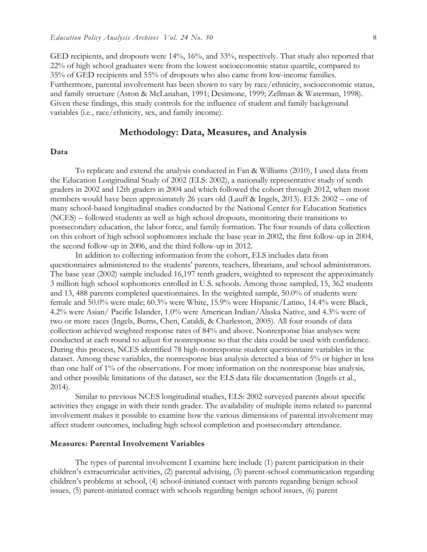GED recipients, and dropouts were 14%, 16%, and 33%, respectively. That study also reported that 22% of high school graduates were from the lowest socioeconomic status quartile, compared to 35% of GED recipients and 55% of dropouts who also came from low-income families. Furthermore, parental involvement has been shown to vary by race/ethnicity, socioeconomic status, and family structure (Aston & McLanahan, 1991; Desimone, 1999; Zellman & Waterman, 1998). Given these findings, this study controls for the influence of student and family background variables (i.e., race/ethnicity, sex, and family income).

#### **Methodology: Data, Measures, and Analysis**

#### **Data**

To replicate and extend the analysis conducted in Fan & Williams (2010), I used data from the Education Longitudinal Study of 2002 (ELS: 2002), a nationally representative study of tenth graders in 2002 and 12th graders in 2004 and which followed the cohort through 2012, when most members would have been approximately 26 years old (Lauff & Ingels, 2013). ELS: 2002 – one of many school-based longitudinal studies conducted by the National Center for Education Statistics (NCES) – followed students as well as high school dropouts, monitoring their transitions to postsecondary education, the labor force, and family formation. The four rounds of data collection on this cohort of high school sophomores include the base year in 2002, the first follow-up in 2004, the second follow-up in 2006, and the third follow-up in 2012.

In addition to collecting information from the cohort, ELS includes data from questionnaires administered to the students' parents, teachers, librarians, and school administrators. The base year (2002) sample included 16,197 tenth graders, weighted to represent the approximately 3 million high school sophomores enrolled in U.S. schools. Among those sampled, 15, 362 students and 13, 488 parents completed questionnaires. In the weighted sample, 50.0% of students were female and 50.0% were male; 60.3% were White, 15.9% were Hispanic/Latino, 14.4% were Black, 4.2% were Asian/ Pacific Islander, 1.0% were American Indian/Alaska Native, and 4.3% were of two or more races (Ingels, Burns, Chen, Cataldi, & Charleston, 2005). All four rounds of data collection achieved weighted response rates of 84% and above. Nonresponse bias analyses were conducted at each round to adjust for nonresponse so that the data could be used with confidence. During this process, NCES identified 78 high-nonresponse student questionnaire variables in the dataset. Among these variables, the nonresponse bias analysis detected a bias of 5% or higher in less than one half of 1% of the observations. For more information on the nonresponse bias analysis, and other possible limitations of the dataset, see the ELS data file documentation (Ingels et al., 2014).

Similar to previous NCES longitudinal studies, ELS: 2002 surveyed parents about specific activities they engage in with their tenth grader. The availability of multiple items related to parental involvement makes it possible to examine how the various dimensions of parental involvement may affect student outcomes, including high school completion and postsecondary attendance.

#### **Measures: Parental Involvement Variables**

The types of parental involvement I examine here include (1) parent participation in their children's extracurricular activities, (2) parental advising, (3) parent-school communication regarding children's problems at school, (4) school-initiated contact with parents regarding benign school issues, (5) parent-initiated contact with schools regarding benign school issues, (6) parent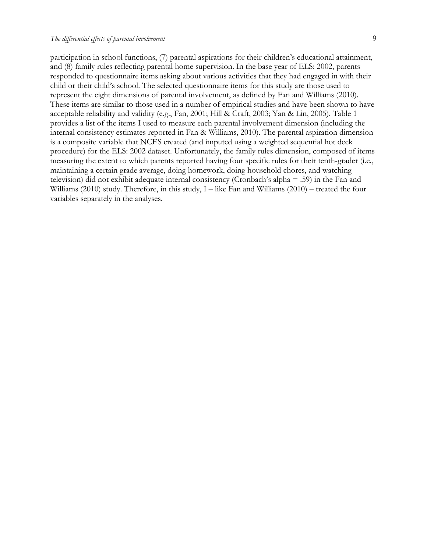participation in school functions, (7) parental aspirations for their children's educational attainment, and (8) family rules reflecting parental home supervision. In the base year of ELS: 2002, parents responded to questionnaire items asking about various activities that they had engaged in with their child or their child's school. The selected questionnaire items for this study are those used to represent the eight dimensions of parental involvement, as defined by Fan and Williams (2010). These items are similar to those used in a number of empirical studies and have been shown to have acceptable reliability and validity (e.g., Fan, 2001; Hill & Craft, 2003; Yan & Lin, 2005). Table 1 provides a list of the items I used to measure each parental involvement dimension (including the internal consistency estimates reported in Fan & Williams, 2010). The parental aspiration dimension is a composite variable that NCES created (and imputed using a weighted sequential hot deck procedure) for the ELS: 2002 dataset. Unfortunately, the family rules dimension, composed of items measuring the extent to which parents reported having four specific rules for their tenth-grader (i.e., maintaining a certain grade average, doing homework, doing household chores, and watching television) did not exhibit adequate internal consistency (Cronbach's alpha = .59) in the Fan and Williams (2010) study. Therefore, in this study, I – like Fan and Williams (2010) – treated the four variables separately in the analyses.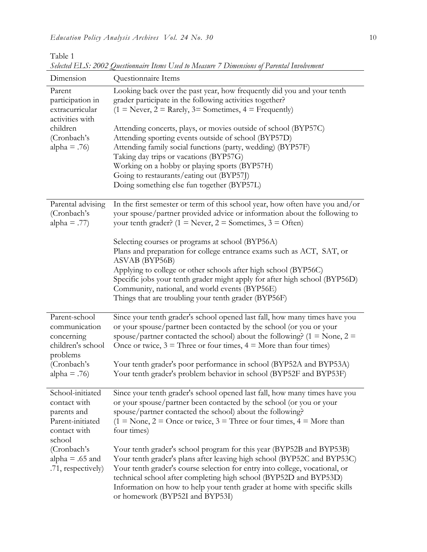Table 1

| Dimension                                                                                                       | $\sim$ monominant from $\sim$ solve to fill assume $\sim$ B ancheology of f an energy find on empty<br>Questionnaire Items                                                                                                                                                                                                                                                                                                                                                          |
|-----------------------------------------------------------------------------------------------------------------|-------------------------------------------------------------------------------------------------------------------------------------------------------------------------------------------------------------------------------------------------------------------------------------------------------------------------------------------------------------------------------------------------------------------------------------------------------------------------------------|
| Parent<br>participation in<br>extracurricular<br>activities with<br>children<br>(Cronbach's<br>alpha = $.76$ )  | Looking back over the past year, how frequently did you and your tenth<br>grader participate in the following activities together?<br>$(1 = Never, 2 = Rarely, 3 = Sometimes, 4 = Frequently)$<br>Attending concerts, plays, or movies outside of school (BYP57C)<br>Attending sporting events outside of school (BYP57D)<br>Attending family social functions (party, wedding) (BYP57F)<br>Taking day trips or vacations (BYP57G)<br>Working on a hobby or playing sports (BYP57H) |
|                                                                                                                 | Going to restaurants/eating out (BYP57J)<br>Doing something else fun together (BYP57L)                                                                                                                                                                                                                                                                                                                                                                                              |
| Parental advising<br>(Cronbach's<br>alpha = .77)                                                                | In the first semester or term of this school year, how often have you and/or<br>your spouse/partner provided advice or information about the following to<br>your tenth grader? $(1 = \text{Never}, 2 = \text{Sometimes}, 3 = \text{Often})$                                                                                                                                                                                                                                        |
|                                                                                                                 | Selecting courses or programs at school (BYP56A)<br>Plans and preparation for college entrance exams such as ACT, SAT, or<br>ASVAB (BYP56B)<br>Applying to college or other schools after high school (BYP56C)<br>Specific jobs your tenth grader might apply for after high school (BYP56D)<br>Community, national, and world events (BYP56E)<br>Things that are troubling your tenth grader (BYP56F)                                                                              |
| Parent-school<br>communication<br>concerning<br>children's school<br>problems<br>(Cronbach's<br>alpha = $.76$ ) | Since your tenth grader's school opened last fall, how many times have you<br>or your spouse/partner been contacted by the school (or you or your<br>spouse/partner contacted the school) about the following? ( $1 = \text{None}$ , $2 =$<br>Once or twice, $3 =$ Three or four times, $4 =$ More than four times)<br>Your tenth grader's poor performance in school (BYP52A and BYP53A)<br>Your tenth grader's problem behavior in school (BYP52F and BYP53F)                     |
| School-initiated<br>contact with<br>parents and<br>Parent-initiated<br>contact with                             | Since your tenth grader's school opened last fall, how many times have you<br>or your spouse/partner been contacted by the school (or you or your<br>spouse/partner contacted the school) about the following?<br>$(1 = None, 2 = Once or twice, 3 = Three or four times, 4 = More than)$<br>four times)                                                                                                                                                                            |
| school<br>(Cronbach's<br>alpha = $.65$ and<br>.71, respectively)                                                | Your tenth grader's school program for this year (BYP52B and BYP53B)<br>Your tenth grader's plans after leaving high school (BYP52C and BYP53C)<br>Your tenth grader's course selection for entry into college, vocational, or<br>technical school after completing high school (BYP52D and BYP53D)<br>Information on how to help your tenth grader at home with specific skills<br>or homework (BYP52I and BYP53I)                                                                 |

*Selected ELS: 2002 Questionnaire Items Used to Measure 7 Dimensions of Parental Involvement*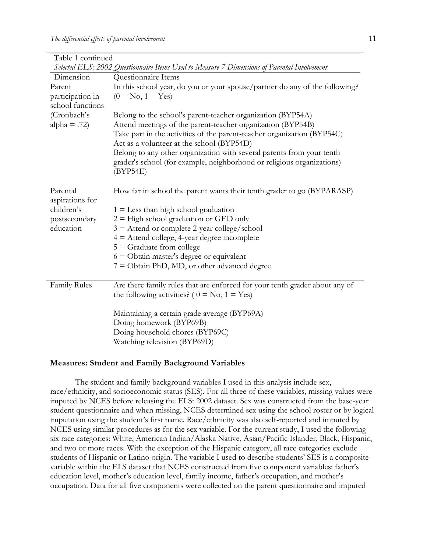| Table 1 continued   |                                                                                                                                                 |
|---------------------|-------------------------------------------------------------------------------------------------------------------------------------------------|
|                     | Selected ELS: 2002 Questionnaire Items Used to Measure 7 Dimensions of Parental Involvement                                                     |
| Dimension           | Questionnaire Items                                                                                                                             |
| Parent              | In this school year, do you or your spouse/partner do any of the following?                                                                     |
| participation in    | $(0 = No, 1 = Yes)$                                                                                                                             |
| school functions    |                                                                                                                                                 |
| (Cronbach's         | Belong to the school's parent-teacher organization (BYP54A)                                                                                     |
| alpha = $.72$ )     | Attend meetings of the parent-teacher organization (BYP54B)                                                                                     |
|                     | Take part in the activities of the parent-teacher organization (BYP54C)<br>Act as a volunteer at the school (BYP54D)                            |
|                     | Belong to any other organization with several parents from your tenth<br>grader's school (for example, neighborhood or religious organizations) |
|                     | (BYP54E)                                                                                                                                        |
| Parental            | How far in school the parent wants their tenth grader to go (BYPARASP)                                                                          |
| aspirations for     |                                                                                                                                                 |
| children's          | $1 =$ Less than high school graduation                                                                                                          |
| postsecondary       | $2 =$ High school graduation or GED only                                                                                                        |
| education           | $3$ = Attend or complete 2-year college/school                                                                                                  |
|                     | $4 =$ Attend college, 4-year degree incomplete                                                                                                  |
|                     | $5 =$ Graduate from college                                                                                                                     |
|                     | $6 =$ Obtain master's degree or equivalent                                                                                                      |
|                     | $7 =$ Obtain PhD, MD, or other advanced degree                                                                                                  |
|                     |                                                                                                                                                 |
| <b>Family Rules</b> | Are there family rules that are enforced for your tenth grader about any of                                                                     |
|                     | the following activities? ( $0 = No$ , $1 = Yes$ )                                                                                              |
|                     | Maintaining a certain grade average (BYP69A)                                                                                                    |
|                     | Doing homework (BYP69B)                                                                                                                         |
|                     | Doing household chores (BYP69C)                                                                                                                 |
|                     | Watching television (BYP69D)                                                                                                                    |
|                     |                                                                                                                                                 |

#### **Measures: Student and Family Background Variables**

The student and family background variables I used in this analysis include sex, race/ethnicity, and socioeconomic status (SES). For all three of these variables, missing values were imputed by NCES before releasing the ELS: 2002 dataset. Sex was constructed from the base-year student questionnaire and when missing, NCES determined sex using the school roster or by logical imputation using the student's first name. Race/ethnicity was also self-reported and imputed by NCES using similar procedures as for the sex variable. For the current study, I used the following six race categories: White, American Indian/Alaska Native, Asian/Pacific Islander, Black, Hispanic, and two or more races. With the exception of the Hispanic category, all race categories exclude students of Hispanic or Latino origin. The variable I used to describe students' SES is a composite variable within the ELS dataset that NCES constructed from five component variables: father's education level, mother's education level, family income, father's occupation, and mother's occupation. Data for all five components were collected on the parent questionnaire and imputed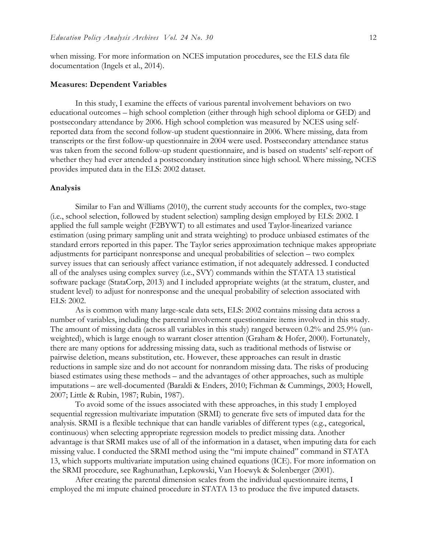when missing. For more information on NCES imputation procedures, see the ELS data file documentation (Ingels et al., 2014).

#### **Measures: Dependent Variables**

In this study, I examine the effects of various parental involvement behaviors on two educational outcomes – high school completion (either through high school diploma or GED) and postsecondary attendance by 2006. High school completion was measured by NCES using selfreported data from the second follow-up student questionnaire in 2006. Where missing, data from transcripts or the first follow-up questionnaire in 2004 were used. Postsecondary attendance status was taken from the second follow-up student questionnaire, and is based on students' self-report of whether they had ever attended a postsecondary institution since high school. Where missing, NCES provides imputed data in the ELS: 2002 dataset.

#### **Analysis**

Similar to Fan and Williams (2010), the current study accounts for the complex, two-stage (i.e., school selection, followed by student selection) sampling design employed by ELS: 2002. I applied the full sample weight (F2BYWT) to all estimates and used Taylor-linearized variance estimation (using primary sampling unit and strata weighting) to produce unbiased estimates of the standard errors reported in this paper. The Taylor series approximation technique makes appropriate adjustments for participant nonresponse and unequal probabilities of selection – two complex survey issues that can seriously affect variance estimation, if not adequately addressed. I conducted all of the analyses using complex survey (i.e., SVY) commands within the STATA 13 statistical software package (StataCorp, 2013) and I included appropriate weights (at the stratum, cluster, and student level) to adjust for nonresponse and the unequal probability of selection associated with ELS: 2002.

As is common with many large-scale data sets, ELS: 2002 contains missing data across a number of variables, including the parental involvement questionnaire items involved in this study. The amount of missing data (across all variables in this study) ranged between 0.2% and 25.9% (unweighted), which is large enough to warrant closer attention (Graham & Hofer, 2000). Fortunately, there are many options for addressing missing data, such as traditional methods of listwise or pairwise deletion, means substitution, etc. However, these approaches can result in drastic reductions in sample size and do not account for nonrandom missing data. The risks of producing biased estimates using these methods – and the advantages of other approaches, such as multiple imputations – are well-documented (Baraldi & Enders, 2010; Fichman & Cummings, 2003; Howell, 2007; Little & Rubin, 1987; Rubin, 1987).

To avoid some of the issues associated with these approaches, in this study I employed sequential regression multivariate imputation (SRMI) to generate five sets of imputed data for the analysis. SRMI is a flexible technique that can handle variables of different types (e.g., categorical, continuous) when selecting appropriate regression models to predict missing data. Another advantage is that SRMI makes use of all of the information in a dataset, when imputing data for each missing value. I conducted the SRMI method using the "mi impute chained" command in STATA 13, which supports multivariate imputation using chained equations (ICE). For more information on the SRMI procedure, see Raghunathan, Lepkowski, Van Hoewyk & Solenberger (2001).

After creating the parental dimension scales from the individual questionnaire items, I employed the mi impute chained procedure in STATA 13 to produce the five imputed datasets.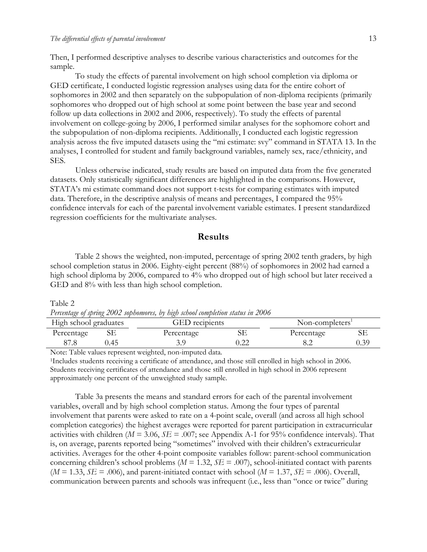Then, I performed descriptive analyses to describe various characteristics and outcomes for the sample.

To study the effects of parental involvement on high school completion via diploma or GED certificate, I conducted logistic regression analyses using data for the entire cohort of sophomores in 2002 and then separately on the subpopulation of non-diploma recipients (primarily sophomores who dropped out of high school at some point between the base year and second follow up data collections in 2002 and 2006, respectively). To study the effects of parental involvement on college-going by 2006, I performed similar analyses for the sophomore cohort and the subpopulation of non-diploma recipients. Additionally, I conducted each logistic regression analysis across the five imputed datasets using the "mi estimate: svy" command in STATA 13. In the analyses, I controlled for student and family background variables, namely sex, race/ethnicity, and SES.

Unless otherwise indicated, study results are based on imputed data from the five generated datasets. Only statistically significant differences are highlighted in the comparisons. However, STATA's mi estimate command does not support t-tests for comparing estimates with imputed data. Therefore, in the descriptive analysis of means and percentages, I compared the 95% confidence intervals for each of the parental involvement variable estimates. I present standardized regression coefficients for the multivariate analyses.

## **Results**

Table 2 shows the weighted, non-imputed, percentage of spring 2002 tenth graders, by high school completion status in 2006. Eighty-eight percent (88%) of sophomores in 2002 had earned a high school diploma by 2006, compared to 4% who dropped out of high school but later received a GED and 8% with less than high school completion.

Table 2

|  | Percentage of spring 2002 sophomores, by high school completion status in 2006 |
|--|--------------------------------------------------------------------------------|
|  |                                                                                |

| High school graduates   |      | <b>GED</b> recipients |      | Non-completers <sup>1</sup> |      |  |
|-------------------------|------|-----------------------|------|-----------------------------|------|--|
| Percentage              |      | Percentage            |      | Percentage                  |      |  |
| o / .o                  | ).45 |                       | 1.44 | 0.Z                         | 0.39 |  |
| $\sim$<br>$\sim$ $\sim$ |      |                       |      |                             |      |  |

Note: Table values represent weighted, non-imputed data.

<sup>1</sup>Includes students receiving a certificate of attendance, and those still enrolled in high school in 2006. Students receiving certificates of attendance and those still enrolled in high school in 2006 represent approximately one percent of the unweighted study sample.

Table 3a presents the means and standard errors for each of the parental involvement variables, overall and by high school completion status. Among the four types of parental involvement that parents were asked to rate on a 4-point scale, overall (and across all high school completion categories) the highest averages were reported for parent participation in extracurricular activities with children ( $M = 3.06$ ,  $SE = .007$ ; see Appendix A-1 for 95% confidence intervals). That is, on average, parents reported being "sometimes" involved with their children's extracurricular activities. Averages for the other 4-point composite variables follow: parent-school communication concerning children's school problems (*M* = 1.32, *SE* = .007), school-initiated contact with parents  $(M = 1.33, SE = .006)$ , and parent-initiated contact with school  $(M = 1.37, SE = .006)$ . Overall, communication between parents and schools was infrequent (i.e., less than "once or twice" during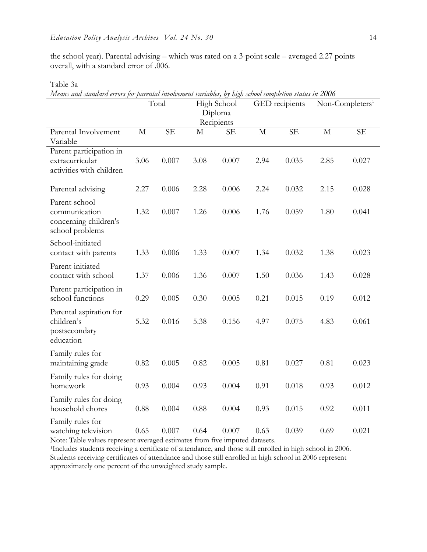the school year). Parental advising – which was rated on a 3-point scale – averaged 2.27 points overall, with a standard error of .006.

Table 3a

*Means and standard errors for parental involvement variables, by high school completion status in 2006*

|                                                                            |              | Total     |      | High School<br>Diploma<br>Recipients |      | GED recipients |              | Non-Completers <sup>1</sup> |
|----------------------------------------------------------------------------|--------------|-----------|------|--------------------------------------|------|----------------|--------------|-----------------------------|
| Parental Involvement<br>Variable                                           | $\mathbf{M}$ | <b>SE</b> | M    | <b>SE</b>                            | M    | <b>SE</b>      | $\mathbf{M}$ | <b>SE</b>                   |
| Parent participation in<br>extracurricular<br>activities with children     | 3.06         | 0.007     | 3.08 | 0.007                                | 2.94 | 0.035          | 2.85         | 0.027                       |
| Parental advising                                                          | 2.27         | 0.006     | 2.28 | 0.006                                | 2.24 | 0.032          | 2.15         | 0.028                       |
| Parent-school<br>communication<br>concerning children's<br>school problems | 1.32         | 0.007     | 1.26 | 0.006                                | 1.76 | 0.059          | 1.80         | 0.041                       |
| School-initiated<br>contact with parents                                   | 1.33         | 0.006     | 1.33 | 0.007                                | 1.34 | 0.032          | 1.38         | 0.023                       |
| Parent-initiated<br>contact with school                                    | 1.37         | 0.006     | 1.36 | 0.007                                | 1.50 | 0.036          | 1.43         | 0.028                       |
| Parent participation in<br>school functions                                | 0.29         | 0.005     | 0.30 | 0.005                                | 0.21 | 0.015          | 0.19         | 0.012                       |
| Parental aspiration for<br>children's<br>postsecondary<br>education        | 5.32         | 0.016     | 5.38 | 0.156                                | 4.97 | 0.075          | 4.83         | 0.061                       |
| Family rules for<br>maintaining grade                                      | 0.82         | 0.005     | 0.82 | 0.005                                | 0.81 | 0.027          | 0.81         | 0.023                       |
| Family rules for doing<br>homework                                         | 0.93         | 0.004     | 0.93 | 0.004                                | 0.91 | 0.018          | 0.93         | 0.012                       |
| Family rules for doing<br>household chores                                 | 0.88         | 0.004     | 0.88 | 0.004                                | 0.93 | 0.015          | 0.92         | 0.011                       |
| Family rules for<br>watching television                                    | 0.65         | 0.007     | 0.64 | 0.007                                | 0.63 | 0.039          | 0.69         | 0.021                       |

Note: Table values represent averaged estimates from five imputed datasets.

<sup>1</sup>Includes students receiving a certificate of attendance, and those still enrolled in high school in 2006. Students receiving certificates of attendance and those still enrolled in high school in 2006 represent approximately one percent of the unweighted study sample.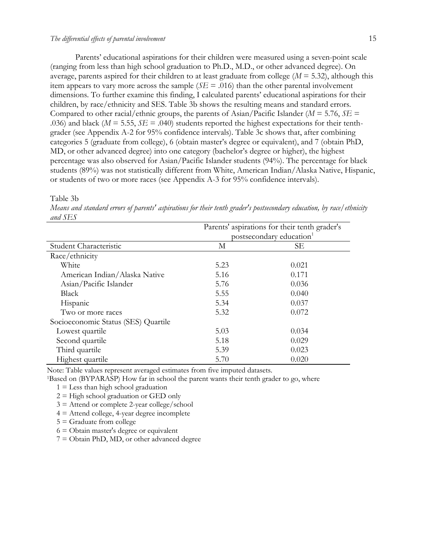#### *The differential effects of parental involvement* 15

Parents' educational aspirations for their children were measured using a seven-point scale (ranging from less than high school graduation to Ph.D., M.D., or other advanced degree). On average, parents aspired for their children to at least graduate from college  $(M = 5.32)$ , although this item appears to vary more across the sample  $(SE = .016)$  than the other parental involvement dimensions. To further examine this finding, I calculated parents' educational aspirations for their children, by race/ethnicity and SES. Table 3b shows the resulting means and standard errors. Compared to other racial/ethnic groups, the parents of Asian/Pacific Islander (*M* = 5.76, *SE* = .036) and black ( $M = 5.55$ ,  $SE = .040$ ) students reported the highest expectations for their tenthgrader (see Appendix A-2 for 95% confidence intervals). Table 3c shows that, after combining categories 5 (graduate from college), 6 (obtain master's degree or equivalent), and 7 (obtain PhD, MD, or other advanced degree) into one category (bachelor's degree or higher), the highest percentage was also observed for Asian/Pacific Islander students (94%). The percentage for black students (89%) was not statistically different from White, American Indian/Alaska Native, Hispanic, or students of two or more races (see Appendix A-3 for 95% confidence intervals).

| Table 3b |  |
|----------|--|
|----------|--|

*Means and standard errors of parents' aspirations for their tenth grader's postsecondary education, by race/ethnicity and SES*

|                                     | Parents' aspirations for their tenth grader's |                                      |  |  |
|-------------------------------------|-----------------------------------------------|--------------------------------------|--|--|
|                                     |                                               | postsecondary education <sup>1</sup> |  |  |
| Student Characteristic              | М                                             | SЕ                                   |  |  |
| Race/ethnicity                      |                                               |                                      |  |  |
| White                               | 5.23                                          | 0.021                                |  |  |
| American Indian/Alaska Native       | 5.16                                          | 0.171                                |  |  |
| Asian/Pacific Islander              | 5.76                                          | 0.036                                |  |  |
| Black                               | 5.55                                          | 0.040                                |  |  |
| Hispanic                            | 5.34                                          | 0.037                                |  |  |
| Two or more races                   | 5.32                                          | 0.072                                |  |  |
| Socioeconomic Status (SES) Quartile |                                               |                                      |  |  |
| Lowest quartile                     | 5.03                                          | 0.034                                |  |  |
| Second quartile                     | 5.18                                          | 0.029                                |  |  |
| Third quartile                      | 5.39                                          | 0.023                                |  |  |
| Highest quartile                    | 5.70                                          | 0.020                                |  |  |

Note: Table values represent averaged estimates from five imputed datasets.

<sup>1</sup>Based on (BYPARASP) How far in school the parent wants their tenth grader to go, where

 $1 =$  Less than high school graduation

 $2 =$  High school graduation or GED only

3 = Attend or complete 2-year college/school

 $4 =$  Attend college, 4-year degree incomplete

5 = Graduate from college

 $6 = \text{Obtain master's degree or equivalent}$ 

7 = Obtain PhD, MD, or other advanced degree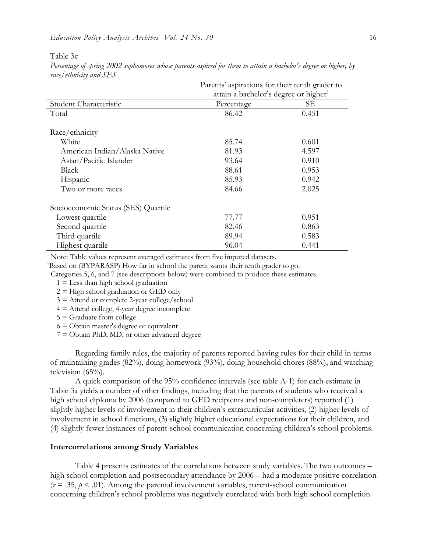Table 3c

|                                     | Parents' aspirations for their tenth grader to    |       |  |  |
|-------------------------------------|---------------------------------------------------|-------|--|--|
|                                     | attain a bachelor's degree or higher <sup>1</sup> |       |  |  |
| Student Characteristic              | Percentage                                        | SЕ    |  |  |
| Total                               | 86.42                                             | 0.451 |  |  |
|                                     |                                                   |       |  |  |
| Race/ethnicity                      |                                                   |       |  |  |
| White                               | 85.74                                             | 0.601 |  |  |
| American Indian/Alaska Native       | 81.93                                             | 4.597 |  |  |
| Asian/Pacific Islander              | 93.64                                             | 0.910 |  |  |
| Black                               | 88.61                                             | 0.953 |  |  |
| Hispanic                            | 85.93                                             | 0.942 |  |  |
| Two or more races                   | 84.66                                             | 2.025 |  |  |
| Socioeconomic Status (SES) Quartile |                                                   |       |  |  |
| Lowest quartile                     | 77.77                                             | 0.951 |  |  |
| Second quartile                     | 82.46                                             | 0.863 |  |  |
| Third quartile                      | 89.94                                             | 0.583 |  |  |
| Highest quartile                    | 96.04                                             | 0.441 |  |  |

*Percentage of spring 2002 sophomores whose parents aspired for them to attain a bachelor's degree or higher, by race/ethnicity and SES*

Note: Table values represent averaged estimates from five imputed datasets.

<sup>1</sup>Based on (BYPARASP) How far in school the parent wants their tenth grader to go.

Categories 5, 6, and 7 (see descriptions below) were combined to produce these estimates.

 $1 =$  Less than high school graduation

 $2 =$  High school graduation or GED only

3 = Attend or complete 2-year college/school

 $4 =$  Attend college, 4-year degree incomplete

 $5 =$  Graduate from college

 $6 = \text{Obtain master's degree or equivalent}$ 

7 = Obtain PhD, MD, or other advanced degree

Regarding family rules, the majority of parents reported having rules for their child in terms of maintaining grades (82%), doing homework (93%), doing household chores (88%), and watching television (65%).

A quick comparison of the 95% confidence intervals (see table A-1) for each estimate in Table 3a yields a number of other findings, including that the parents of students who received a high school diploma by 2006 (compared to GED recipients and non-completers) reported (1) slightly higher levels of involvement in their children's extracurricular activities, (2) higher levels of involvement in school functions, (3) slightly higher educational expectations for their children, and (4) slightly fewer instances of parent-school communication concerning children's school problems.

#### **Intercorrelations among Study Variables**

Table 4 presents estimates of the correlations between study variables. The two outcomes – high school completion and postsecondary attendance by 2006 – had a moderate positive correlation  $(r = .35, p < .01)$ . Among the parental involvement variables, parent-school communication concerning children's school problems was negatively correlated with both high school completion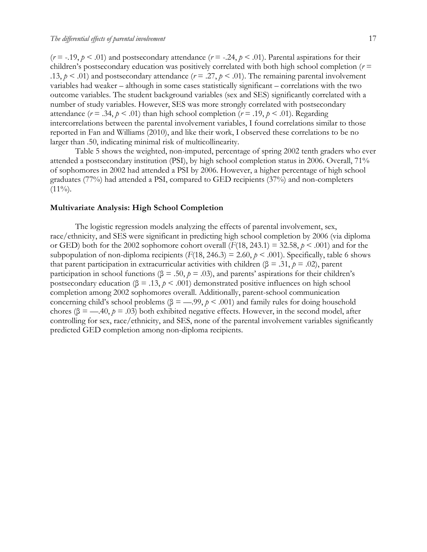$(r = -.19, p < .01)$  and postsecondary attendance  $(r = -.24, p < .01)$ . Parental aspirations for their children's postsecondary education was positively correlated with both high school completion  $(r =$ .13,  $p < .01$ ) and postsecondary attendance ( $r = .27$ ,  $p < .01$ ). The remaining parental involvement variables had weaker – although in some cases statistically significant – correlations with the two outcome variables. The student background variables (sex and SES) significantly correlated with a number of study variables. However, SES was more strongly correlated with postsecondary attendance  $(r = .34, p < .01)$  than high school completion  $(r = .19, p < .01)$ . Regarding intercorrelations between the parental involvement variables, I found correlations similar to those reported in Fan and Williams (2010), and like their work, I observed these correlations to be no larger than .50, indicating minimal risk of multicollinearity.

Table 5 shows the weighted, non-imputed, percentage of spring 2002 tenth graders who ever attended a postsecondary institution (PSI), by high school completion status in 2006. Overall, 71% of sophomores in 2002 had attended a PSI by 2006. However, a higher percentage of high school graduates (77%) had attended a PSI, compared to GED recipients (37%) and non-completers  $(11\%)$ .

#### **Multivariate Analysis: High School Completion**

The logistic regression models analyzing the effects of parental involvement, sex, race/ethnicity, and SES were significant in predicting high school completion by 2006 (via diploma or GED) both for the 2002 sophomore cohort overall  $(F(18, 243.1) = 32.58, p \le .001)$  and for the subpopulation of non-diploma recipients  $(F(18, 246.3) = 2.60, p \le 0.001)$ . Specifically, table 6 shows that parent participation in extracurricular activities with children ( $\beta = .31$ ,  $p = .02$ ), parent participation in school functions ( $\beta = .50$ ,  $\rho = .03$ ), and parents' aspirations for their children's postsecondary education ( $\beta = .13$ ,  $p < .001$ ) demonstrated positive influences on high school completion among 2002 sophomores overall. Additionally, parent-school communication concerning child's school problems ( $\beta =$  —.99,  $p < .001$ ) and family rules for doing household chores ( $\beta = -40, \, \rho = .03$ ) both exhibited negative effects. However, in the second model, after controlling for sex, race/ethnicity, and SES, none of the parental involvement variables significantly predicted GED completion among non-diploma recipients.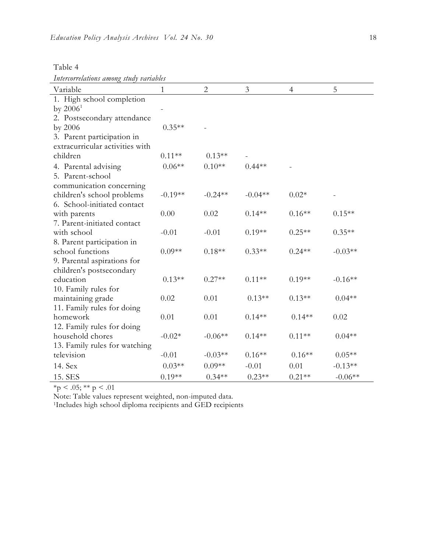| able |
|------|
|------|

*Intercorrelations among study variables*

| Variable                        | $\mathbf{1}$ | $\overline{c}$ | $\mathfrak{Z}$ | $\overline{4}$ | 5         |
|---------------------------------|--------------|----------------|----------------|----------------|-----------|
| 1. High school completion       |              |                |                |                |           |
| by $2006^1$                     |              |                |                |                |           |
| 2. Postsecondary attendance     |              |                |                |                |           |
| by 2006                         | $0.35**$     |                |                |                |           |
| 3. Parent participation in      |              |                |                |                |           |
| extracurricular activities with |              |                |                |                |           |
| children                        | $0.11**$     | $0.13**$       |                |                |           |
| 4. Parental advising            | $0.06**$     | $0.10**$       | $0.44**$       |                |           |
| 5. Parent-school                |              |                |                |                |           |
| communication concerning        |              |                |                |                |           |
| children's school problems      | $-0.19**$    | $-0.24**$      | $-0.04**$      | $0.02*$        |           |
| 6. School-initiated contact     |              |                |                |                |           |
| with parents                    | 0.00         | 0.02           | $0.14**$       | $0.16**$       | $0.15**$  |
| 7. Parent-initiated contact     |              |                |                |                |           |
| with school                     | $-0.01$      | $-0.01$        | $0.19**$       | $0.25**$       | $0.35**$  |
| 8. Parent participation in      |              |                |                |                |           |
| school functions                | $0.09**$     | $0.18**$       | $0.33**$       | $0.24**$       | $-0.03**$ |
| 9. Parental aspirations for     |              |                |                |                |           |
| children's postsecondary        |              |                |                |                |           |
| education                       | $0.13**$     | $0.27**$       | $0.11**$       | $0.19**$       | $-0.16**$ |
| 10. Family rules for            |              |                |                |                |           |
| maintaining grade               | 0.02         | 0.01           | $0.13**$       | $0.13**$       | $0.04**$  |
| 11. Family rules for doing      |              |                |                |                |           |
| homework                        | 0.01         | 0.01           | $0.14**$       | $0.14**$       | 0.02      |
| 12. Family rules for doing      |              |                |                |                |           |
| household chores                | $-0.02*$     | $-0.06**$      | $0.14**$       | $0.11**$       | $0.04**$  |
| 13. Family rules for watching   |              |                |                |                |           |
| television                      | $-0.01$      | $-0.03**$      | $0.16**$       | $0.16**$       | $0.05**$  |
| 14. Sex                         | $0.03**$     | $0.09**$       | $-0.01$        | 0.01           | $-0.13**$ |
| 15. SES                         | $0.19**$     | $0.34**$       | $0.23**$       | $0.21**$       | $-0.06**$ |

 $*$ p < .05;  $*$  $*$  p < .01

Note: Table values represent weighted, non-imputed data.

1Includes high school diploma recipients and GED recipients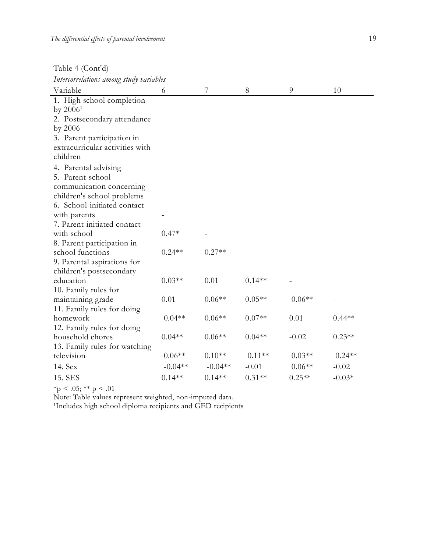Table 4 (Cont'd)

*Intercorrelations among study variables*

| Variable                        | 6         | 7         | 8        | 9        | 10       |
|---------------------------------|-----------|-----------|----------|----------|----------|
| 1. High school completion       |           |           |          |          |          |
| by $2006^1$                     |           |           |          |          |          |
| 2. Postsecondary attendance     |           |           |          |          |          |
| by 2006                         |           |           |          |          |          |
| 3. Parent participation in      |           |           |          |          |          |
| extracurricular activities with |           |           |          |          |          |
| children                        |           |           |          |          |          |
| 4. Parental advising            |           |           |          |          |          |
| 5. Parent-school                |           |           |          |          |          |
| communication concerning        |           |           |          |          |          |
| children's school problems      |           |           |          |          |          |
| 6. School-initiated contact     |           |           |          |          |          |
| with parents                    |           |           |          |          |          |
| 7. Parent-initiated contact     |           |           |          |          |          |
| with school                     | $0.47*$   |           |          |          |          |
| 8. Parent participation in      |           |           |          |          |          |
| school functions                | $0.24**$  | $0.27**$  |          |          |          |
| 9. Parental aspirations for     |           |           |          |          |          |
| children's postsecondary        |           |           |          |          |          |
| education                       | $0.03**$  | 0.01      | $0.14**$ |          |          |
| 10. Family rules for            |           |           |          |          |          |
| maintaining grade               | 0.01      | $0.06**$  | $0.05**$ | $0.06**$ |          |
| 11. Family rules for doing      |           |           |          |          |          |
| homework                        | $0.04**$  | $0.06**$  | $0.07**$ | 0.01     | $0.44**$ |
| 12. Family rules for doing      |           |           |          |          |          |
| household chores                | $0.04**$  | $0.06**$  | $0.04**$ | $-0.02$  | $0.23**$ |
| 13. Family rules for watching   |           |           |          |          |          |
| television                      | $0.06**$  | $0.10**$  | $0.11**$ | $0.03**$ | $0.24**$ |
| 14. Sex                         | $-0.04**$ | $-0.04**$ | $-0.01$  | $0.06**$ | $-0.02$  |
| 15. SES                         | $0.14**$  | $0.14**$  | $0.31**$ | $0.25**$ | $-0.03*$ |

 $*$ p < .05;  $*$  $*$  p < .01

Note: Table values represent weighted, non-imputed data.

1Includes high school diploma recipients and GED recipients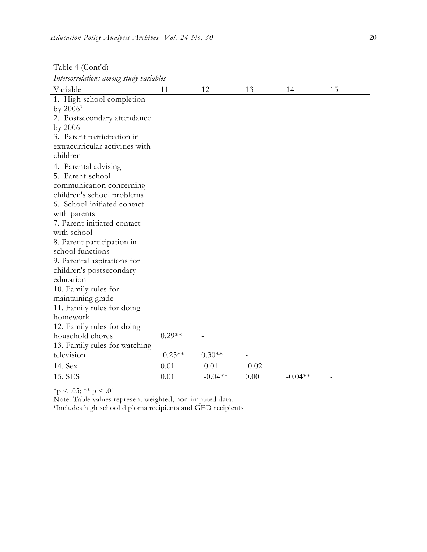| Table 4 (Cont'd)                            |          |           |         |           |    |  |  |
|---------------------------------------------|----------|-----------|---------|-----------|----|--|--|
| Intercorrelations among study variables     |          |           |         |           |    |  |  |
| Variable                                    | 11       | 12        | 13      | 14        | 15 |  |  |
| 1. High school completion                   |          |           |         |           |    |  |  |
| by $2006^1$                                 |          |           |         |           |    |  |  |
| 2. Postsecondary attendance                 |          |           |         |           |    |  |  |
| by 2006                                     |          |           |         |           |    |  |  |
| 3. Parent participation in                  |          |           |         |           |    |  |  |
| extracurricular activities with             |          |           |         |           |    |  |  |
| children                                    |          |           |         |           |    |  |  |
| 4. Parental advising                        |          |           |         |           |    |  |  |
| 5. Parent-school                            |          |           |         |           |    |  |  |
| communication concerning                    |          |           |         |           |    |  |  |
| children's school problems                  |          |           |         |           |    |  |  |
| 6. School-initiated contact                 |          |           |         |           |    |  |  |
| with parents                                |          |           |         |           |    |  |  |
| 7. Parent-initiated contact                 |          |           |         |           |    |  |  |
| with school                                 |          |           |         |           |    |  |  |
| 8. Parent participation in                  |          |           |         |           |    |  |  |
| school functions                            |          |           |         |           |    |  |  |
| 9. Parental aspirations for                 |          |           |         |           |    |  |  |
| children's postsecondary                    |          |           |         |           |    |  |  |
| education                                   |          |           |         |           |    |  |  |
| 10. Family rules for                        |          |           |         |           |    |  |  |
| maintaining grade                           |          |           |         |           |    |  |  |
| 11. Family rules for doing                  |          |           |         |           |    |  |  |
| homework                                    |          |           |         |           |    |  |  |
| 12. Family rules for doing                  | $0.29**$ |           |         |           |    |  |  |
| household chores                            |          |           |         |           |    |  |  |
| 13. Family rules for watching<br>television | $0.25**$ | $0.30**$  |         |           |    |  |  |
|                                             |          |           |         |           |    |  |  |
| 14. Sex                                     | 0.01     | $-0.01$   | $-0.02$ |           |    |  |  |
| 15. SES                                     | 0.01     | $-0.04**$ | 0.00    | $-0.04**$ |    |  |  |

 $*$ p < .05;  $*$  $*$  p < .01

Note: Table values represent weighted, non-imputed data.

1Includes high school diploma recipients and GED recipients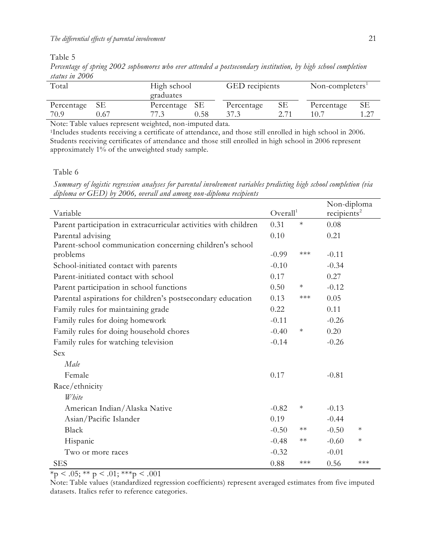Table 5

*Percentage of spring 2002 sophomores who ever attended a postsecondary institution, by high school completion status in 2006*

| Total        |      | High school<br>graduates |      | GED recipients |  | Non-completers <sup>1</sup> |  |
|--------------|------|--------------------------|------|----------------|--|-----------------------------|--|
| Percentage   | SЕ   | Percentage SE            |      | Percentage     |  | Percentage                  |  |
| 70.9         | ).67 |                          | 0.58 |                |  |                             |  |
| $\mathbf{r}$ |      | $\cdots$                 |      |                |  |                             |  |

Note: Table values represent weighted, non-imputed data.

<sup>1</sup>Includes students receiving a certificate of attendance, and those still enrolled in high school in 2006. Students receiving certificates of attendance and those still enrolled in high school in 2006 represent approximately 1% of the unweighted study sample.

Table 6

*Summary of logistic regression analyses for parental involvement variables predicting high school completion (via diploma or GED) by 2006, overall and among non-diploma recipients*

|                                                                  |         |                      | Non-diploma |                         |  |
|------------------------------------------------------------------|---------|----------------------|-------------|-------------------------|--|
| Variable                                                         |         | Overall <sup>1</sup> |             | recipients <sup>2</sup> |  |
| Parent participation in extracurricular activities with children | 0.31    | $\ast$               | 0.08        |                         |  |
| Parental advising                                                | 0.10    |                      | 0.21        |                         |  |
| Parent-school communication concerning children's school         |         |                      |             |                         |  |
| problems                                                         | $-0.99$ | $***$                | $-0.11$     |                         |  |
| School-initiated contact with parents                            | $-0.10$ |                      | $-0.34$     |                         |  |
| Parent-initiated contact with school                             | 0.17    |                      | 0.27        |                         |  |
| Parent participation in school functions                         | 0.50    | $\ast$               | $-0.12$     |                         |  |
| Parental aspirations for children's postsecondary education      | 0.13    | $***$                | 0.05        |                         |  |
| Family rules for maintaining grade                               | 0.22    |                      | 0.11        |                         |  |
| Family rules for doing homework                                  | $-0.11$ |                      | $-0.26$     |                         |  |
| Family rules for doing household chores                          | $-0.40$ | $\ast$               | 0.20        |                         |  |
| Family rules for watching television                             | $-0.14$ |                      | $-0.26$     |                         |  |
| Sex                                                              |         |                      |             |                         |  |
| Male                                                             |         |                      |             |                         |  |
| Female                                                           | 0.17    |                      | $-0.81$     |                         |  |
| Race/ethnicity                                                   |         |                      |             |                         |  |
| White                                                            |         |                      |             |                         |  |
| American Indian/Alaska Native                                    | $-0.82$ | $\ast$               | $-0.13$     |                         |  |
| Asian/Pacific Islander                                           | 0.19    |                      | $-0.44$     |                         |  |
| Black                                                            | $-0.50$ | $**$                 | $-0.50$     | $\ast$                  |  |
| Hispanic                                                         | $-0.48$ | $**$                 | $-0.60$     | $\ast$                  |  |
| Two or more races                                                | $-0.32$ |                      | $-0.01$     |                         |  |
| <b>SES</b>                                                       | 0.88    | ***                  | 0.56        | $***$                   |  |

 $\frac{}{\ast p}$  < .05;  $\frac{}{\ast \ast p}$  < .01;  $\frac{}{\ast \ast \ast p}$  < .001

Note: Table values (standardized regression coefficients) represent averaged estimates from five imputed datasets. Italics refer to reference categories.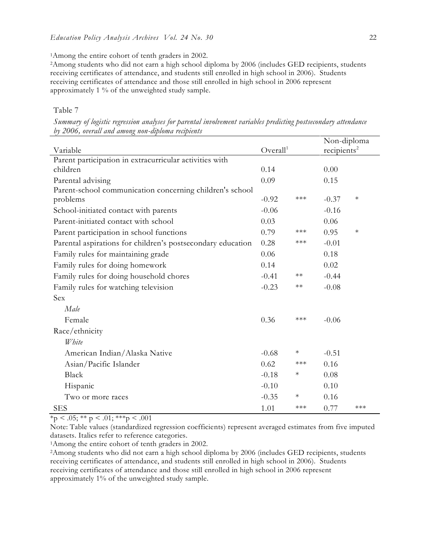<sup>1</sup>Among the entire cohort of tenth graders in 2002.

<sup>2</sup>Among students who did not earn a high school diploma by 2006 (includes GED recipients, students receiving certificates of attendance, and students still enrolled in high school in 2006). Students receiving certificates of attendance and those still enrolled in high school in 2006 represent approximately 1 % of the unweighted study sample.

#### Table 7

*Summary of logistic regression analyses for parental involvement variables predicting postsecondary attendance by 2006, overall and among non-diploma recipients*

|                                                             |                      |            | Non-diploma             |        |
|-------------------------------------------------------------|----------------------|------------|-------------------------|--------|
| Variable                                                    | Overall <sup>1</sup> |            | recipients <sup>2</sup> |        |
| Parent participation in extracurricular activities with     |                      |            |                         |        |
| children                                                    | 0.14                 |            | 0.00                    |        |
| Parental advising                                           | 0.09                 |            | 0.15                    |        |
| Parent-school communication concerning children's school    |                      |            |                         |        |
| problems                                                    | $-0.92$              | $***$      | $-0.37$                 | $\ast$ |
| School-initiated contact with parents                       | $-0.06$              |            | $-0.16$                 |        |
| Parent-initiated contact with school                        | 0.03                 |            | 0.06                    |        |
| Parent participation in school functions                    | 0.79                 | $***$      | 0.95                    | $\ast$ |
| Parental aspirations for children's postsecondary education | 0.28                 | $***$      | $-0.01$                 |        |
| Family rules for maintaining grade                          | 0.06                 |            | 0.18                    |        |
| Family rules for doing homework                             | 0.14                 |            | 0.02                    |        |
| Family rules for doing household chores                     | $-0.41$              | $\ast\ast$ | $-0.44$                 |        |
| Family rules for watching television                        | $-0.23$              | $\ast\ast$ | $-0.08$                 |        |
| Sex                                                         |                      |            |                         |        |
| Male                                                        |                      |            |                         |        |
| Female                                                      | 0.36                 | $***$      | $-0.06$                 |        |
| Race/ethnicity                                              |                      |            |                         |        |
| White                                                       |                      |            |                         |        |
| American Indian/Alaska Native                               | $-0.68$              | $\ast$     | $-0.51$                 |        |
| Asian/Pacific Islander                                      | 0.62                 | $***$      | 0.16                    |        |
| Black                                                       | $-0.18$              | $\ast$     | 0.08                    |        |
| Hispanic                                                    | $-0.10$              |            | 0.10                    |        |
| Two or more races                                           | $-0.35$              | $\ast$     | 0.16                    |        |
| <b>SES</b>                                                  | 1.01                 | $***$      | 0.77                    | ***    |

 $*_{p}$  < .05; \*\* p < .01; \*\*\* p < .001

Note: Table values (standardized regression coefficients) represent averaged estimates from five imputed datasets. Italics refer to reference categories.

<sup>1</sup>Among the entire cohort of tenth graders in 2002.

<sup>2</sup>Among students who did not earn a high school diploma by 2006 (includes GED recipients, students receiving certificates of attendance, and students still enrolled in high school in 2006). Students receiving certificates of attendance and those still enrolled in high school in 2006 represent approximately 1% of the unweighted study sample.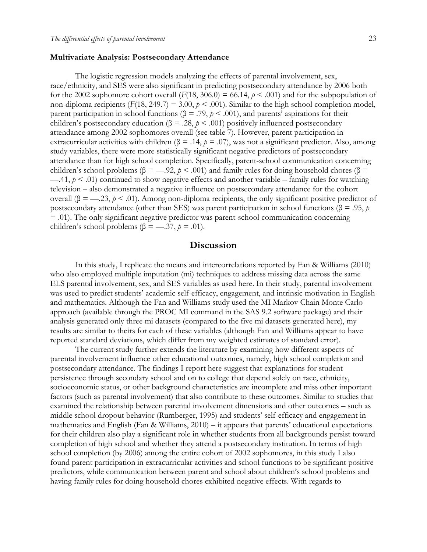#### **Multivariate Analysis: Postsecondary Attendance**

The logistic regression models analyzing the effects of parental involvement, sex, race/ethnicity, and SES were also significant in predicting postsecondary attendance by 2006 both for the 2002 sophomore cohort overall  $(F(18, 306.0) = 66.14, p < .001)$  and for the subpopulation of non-diploma recipients ( $F(18, 249.7) = 3.00$ ,  $p < .001$ ). Similar to the high school completion model, parent participation in school functions ( $\beta = .79$ ,  $\rho < .001$ ), and parents' aspirations for their children's postsecondary education ( $\beta = .28$ ,  $p < .001$ ) positively influenced postsecondary attendance among 2002 sophomores overall (see table 7). However, parent participation in extracurricular activities with children ( $\beta$  = .14,  $p$  = .07), was not a significant predictor. Also, among study variables, there were more statistically significant negative predictors of postsecondary attendance than for high school completion. Specifically, parent-school communication concerning children's school problems ( $\beta =$ —.92,  $p < .001$ ) and family rules for doing household chores ( $\beta$  =  $-41, p < .01$ ) continued to show negative effects and another variable – family rules for watching television – also demonstrated a negative influence on postsecondary attendance for the cohort overall ( $\beta = -23$ ,  $\rho < .01$ ). Among non-diploma recipients, the only significant positive predictor of postsecondary attendance (other than SES) was parent participation in school functions (β = .95, *p* = .01). The only significant negative predictor was parent-school communication concerning children's school problems ( $\beta =$ —.37,  $p = .01$ ).

## **Discussion**

In this study, I replicate the means and intercorrelations reported by Fan & Williams (2010) who also employed multiple imputation (mi) techniques to address missing data across the same ELS parental involvement, sex, and SES variables as used here. In their study, parental involvement was used to predict students' academic self-efficacy, engagement, and intrinsic motivation in English and mathematics. Although the Fan and Williams study used the MI Markov Chain Monte Carlo approach (available through the PROC MI command in the SAS 9.2 software package) and their analysis generated only three mi datasets (compared to the five mi datasets generated here), my results are similar to theirs for each of these variables (although Fan and Williams appear to have reported standard deviations, which differ from my weighted estimates of standard error).

The current study further extends the literature by examining how different aspects of parental involvement influence other educational outcomes, namely, high school completion and postsecondary attendance. The findings I report here suggest that explanations for student persistence through secondary school and on to college that depend solely on race, ethnicity, socioeconomic status, or other background characteristics are incomplete and miss other important factors (such as parental involvement) that also contribute to these outcomes. Similar to studies that examined the relationship between parental involvement dimensions and other outcomes – such as middle school dropout behavior (Rumberger, 1995) and students' self-efficacy and engagement in mathematics and English (Fan & Williams, 2010) – it appears that parents' educational expectations for their children also play a significant role in whether students from all backgrounds persist toward completion of high school and whether they attend a postsecondary institution. In terms of high school completion (by 2006) among the entire cohort of 2002 sophomores, in this study I also found parent participation in extracurricular activities and school functions to be significant positive predictors, while communication between parent and school about children's school problems and having family rules for doing household chores exhibited negative effects. With regards to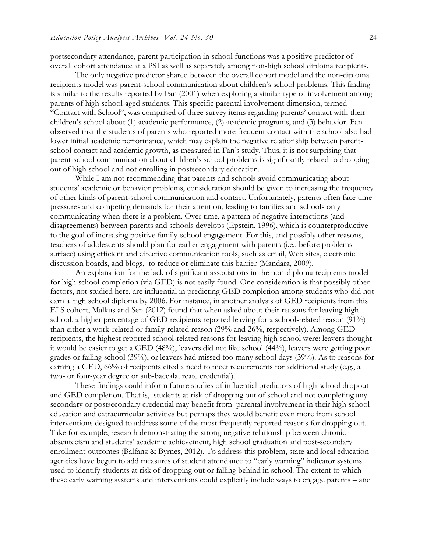postsecondary attendance, parent participation in school functions was a positive predictor of overall cohort attendance at a PSI as well as separately among non-high school diploma recipients.

The only negative predictor shared between the overall cohort model and the non-diploma recipients model was parent-school communication about children's school problems. This finding is similar to the results reported by Fan (2001) when exploring a similar type of involvement among parents of high school-aged students. This specific parental involvement dimension, termed "Contact with School", was comprised of three survey items regarding parents' contact with their children's school about (1) academic performance, (2) academic programs, and (3) behavior. Fan observed that the students of parents who reported more frequent contact with the school also had lower initial academic performance, which may explain the negative relationship between parentschool contact and academic growth, as measured in Fan's study. Thus, it is not surprising that parent-school communication about children's school problems is significantly related to dropping out of high school and not enrolling in postsecondary education.

While I am not recommending that parents and schools avoid communicating about students' academic or behavior problems, consideration should be given to increasing the frequency of other kinds of parent-school communication and contact. Unfortunately, parents often face time pressures and competing demands for their attention, leading to families and schools only communicating when there is a problem. Over time, a pattern of negative interactions (and disagreements) between parents and schools develops (Epstein, 1996), which is counterproductive to the goal of increasing positive family-school engagement. For this, and possibly other reasons, teachers of adolescents should plan for earlier engagement with parents (i.e., before problems surface) using efficient and effective communication tools, such as email, Web sites, electronic discussion boards, and blogs, to reduce or eliminate this barrier (Mandara, 2009).

An explanation for the lack of significant associations in the non-diploma recipients model for high school completion (via GED) is not easily found. One consideration is that possibly other factors, not studied here, are influential in predicting GED completion among students who did not earn a high school diploma by 2006. For instance, in another analysis of GED recipients from this ELS cohort, Malkus and Sen (2012) found that when asked about their reasons for leaving high school, a higher percentage of GED recipients reported leaving for a school-related reason (91%) than either a work-related or family-related reason (29% and 26%, respectively). Among GED recipients, the highest reported school-related reasons for leaving high school were: leavers thought it would be easier to get a GED (48%), leavers did not like school (44%), leavers were getting poor grades or failing school (39%), or leavers had missed too many school days (39%). As to reasons for earning a GED, 66% of recipients cited a need to meet requirements for additional study (e.g., a two- or four-year degree or sub-baccalaureate credential).

These findings could inform future studies of influential predictors of high school dropout and GED completion. That is, students at risk of dropping out of school and not completing any secondary or postsecondary credential may benefit from parental involvement in their high school education and extracurricular activities but perhaps they would benefit even more from school interventions designed to address some of the most frequently reported reasons for dropping out. Take for example, research demonstrating the strong negative relationship between chronic absenteeism and students' academic achievement, high school graduation and post-secondary enrollment outcomes (Balfanz & Byrnes, 2012). To address this problem, state and local education agencies have begun to add measures of student attendance to "early warning" indicator systems used to identify students at risk of dropping out or falling behind in school. The extent to which these early warning systems and interventions could explicitly include ways to engage parents – and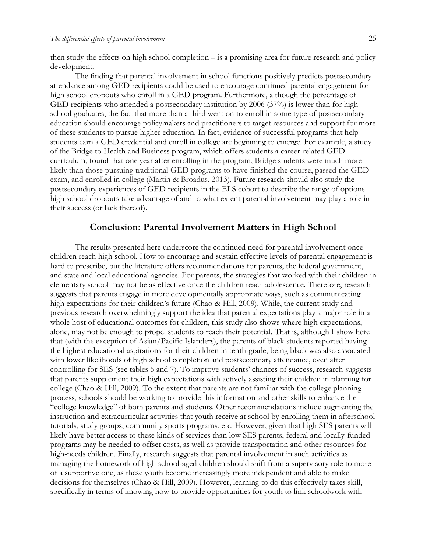then study the effects on high school completion – is a promising area for future research and policy development.

The finding that parental involvement in school functions positively predicts postsecondary attendance among GED recipients could be used to encourage continued parental engagement for high school dropouts who enroll in a GED program. Furthermore, although the percentage of GED recipients who attended a postsecondary institution by 2006 (37%) is lower than for high school graduates, the fact that more than a third went on to enroll in some type of postsecondary education should encourage policymakers and practitioners to target resources and support for more of these students to pursue higher education. In fact, evidence of successful programs that help students earn a GED credential and enroll in college are beginning to emerge. For example, a study of the Bridge to Health and Business program, which offers students a career-related GED curriculum, found that one year after enrolling in the program, Bridge students were much more likely than those pursuing traditional GED programs to have finished the course, passed the GED exam, and enrolled in college (Martin & Broadus, 2013). Future research should also study the postsecondary experiences of GED recipients in the ELS cohort to describe the range of options high school dropouts take advantage of and to what extent parental involvement may play a role in their success (or lack thereof).

#### **Conclusion: Parental Involvement Matters in High School**

The results presented here underscore the continued need for parental involvement once children reach high school. How to encourage and sustain effective levels of parental engagement is hard to prescribe, but the literature offers recommendations for parents, the federal government, and state and local educational agencies. For parents, the strategies that worked with their children in elementary school may not be as effective once the children reach adolescence. Therefore, research suggests that parents engage in more developmentally appropriate ways, such as communicating high expectations for their children's future (Chao & Hill, 2009). While, the current study and previous research overwhelmingly support the idea that parental expectations play a major role in a whole host of educational outcomes for children, this study also shows where high expectations, alone, may not be enough to propel students to reach their potential. That is, although I show here that (with the exception of Asian/Pacific Islanders), the parents of black students reported having the highest educational aspirations for their children in tenth-grade, being black was also associated with lower likelihoods of high school completion and postsecondary attendance, even after controlling for SES (see tables 6 and 7). To improve students' chances of success, research suggests that parents supplement their high expectations with actively assisting their children in planning for college (Chao & Hill, 2009). To the extent that parents are not familiar with the college planning process, schools should be working to provide this information and other skills to enhance the "college knowledge" of both parents and students. Other recommendations include augmenting the instruction and extracurricular activities that youth receive at school by enrolling them in afterschool tutorials, study groups, community sports programs, etc. However, given that high SES parents will likely have better access to these kinds of services than low SES parents, federal and locally-funded programs may be needed to offset costs, as well as provide transportation and other resources for high-needs children. Finally, research suggests that parental involvement in such activities as managing the homework of high school-aged children should shift from a supervisory role to more of a supportive one, as these youth become increasingly more independent and able to make decisions for themselves (Chao & Hill, 2009). However, learning to do this effectively takes skill, specifically in terms of knowing how to provide opportunities for youth to link schoolwork with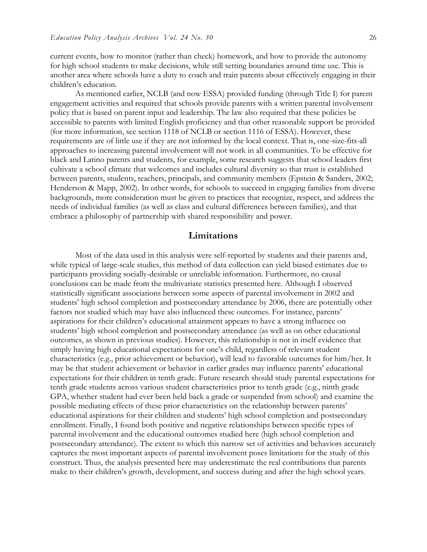current events, how to monitor (rather than check) homework, and how to provide the autonomy for high school students to make decisions, while still setting boundaries around time use. This is another area where schools have a duty to coach and train parents about effectively engaging in their children's education.

As mentioned earlier, NCLB (and now ESSA) provided funding (through Title I) for parent engagement activities and required that schools provide parents with a written parental involvement policy that is based on parent input and leadership. The law also required that these policies be accessible to parents with limited English proficiency and that other reasonable support be provided (for more information, see section 1118 of NCLB or section 1116 of ESSA). However, these requirements are of little use if they are not informed by the local context. That is, one-size-fits-all approaches to increasing parental involvement will not work in all communities. To be effective for black and Latino parents and students, for example, some research suggests that school leaders first cultivate a school climate that welcomes and includes cultural diversity so that trust is established between parents, students, teachers, principals, and community members (Epstein & Sanders, 2002; Henderson & Mapp, 2002). In other words, for schools to succeed in engaging families from diverse backgrounds, more consideration must be given to practices that recognize, respect, and address the needs of individual families (as well as class and cultural differences between families), and that embrace a philosophy of partnership with shared responsibility and power.

#### **Limitations**

Most of the data used in this analysis were self-reported by students and their parents and, while typical of large-scale studies, this method of data collection can yield biased estimates due to participants providing socially-desirable or unreliable information. Furthermore, no causal conclusions can be made from the multivariate statistics presented here. Although I observed statistically significant associations between some aspects of parental involvement in 2002 and students' high school completion and postsecondary attendance by 2006, there are potentially other factors not studied which may have also influenced these outcomes. For instance, parents' aspirations for their children's educational attainment appears to have a strong influence on students' high school completion and postsecondary attendance (as well as on other educational outcomes, as shown in previous studies). However, this relationship is not in itself evidence that simply having high educational expectations for one's child, regardless of relevant student characteristics (e.g., prior achievement or behavior), will lead to favorable outcomes for him/her. It may be that student achievement or behavior in earlier grades may influence parents' educational expectations for their children in tenth grade. Future research should study parental expectations for tenth grade students across various student characteristics prior to tenth grade (e.g., ninth grade GPA, whether student had ever been held back a grade or suspended from school) and examine the possible mediating effects of these prior characteristics on the relationship between parents' educational aspirations for their children and students' high school completion and postsecondary enrollment. Finally, I found both positive and negative relationships between specific types of parental involvement and the educational outcomes studied here (high school completion and postsecondary attendance). The extent to which this narrow set of activities and behaviors accurately captures the most important aspects of parental involvement poses limitations for the study of this construct. Thus, the analysis presented here may underestimate the real contributions that parents make to their children's growth, development, and success during and after the high school years.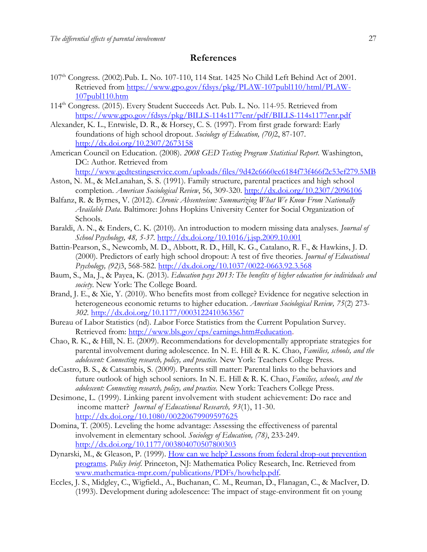#### **References**

- 107th Congress. (2002).Pub. L. No. 107-110, 114 Stat. 1425 No Child Left Behind Act of 2001. Retrieved from [https://www.gpo.gov/fdsys/pkg/PLAW-107publ110/html/PLAW-](https://www.gpo.gov/fdsys/pkg/PLAW-107publ110/html/PLAW-107publ110.htm)[107publ110.htm](https://www.gpo.gov/fdsys/pkg/PLAW-107publ110/html/PLAW-107publ110.htm)
- 114th Congress. (2015). Every Student Succeeds Act. Pub. L. No. 114-95. Retrieved from <https://www.gpo.gov/fdsys/pkg/BILLS-114s1177enr/pdf/BILLS-114s1177enr.pdf>
- Alexander, K. L., Entwisle, D. R., & Horsey, C. S. (1997). From first grade forward: Early foundations of high school dropout. *Sociology of Education, (70)*2, 87-107. <http://dx.doi.org/10.2307/2673158>
- American Council on Education. (2008). *2008 GED Testing Program Statistical Report.* Washington, DC: Author. Retrieved from

<http://www.gedtestingservice.com/uploads/files/9d42c6660ec6184f73f466f2c53ef279.5MB>

- Aston, N. M., & McLanahan, S. S. (1991). Family structure, parental practices and high school completion. *American Sociological Review*, 56, 309-320.<http://dx.doi.org/10.2307/2096106>
- Balfanz, R. & Byrnes, V. (2012). *Chronic Absenteeism: Summarizing What We Know From Nationally Available Data*. Baltimore: Johns Hopkins University Center for Social Organization of Schools.
- Baraldi, A. N., & Enders, C. K. (2010). An introduction to modern missing data analyses. *Journal of School Psychology, 48, 5-37.* <http://dx.doi.org/10.1016/j.jsp.2009.10.001>
- Battin-Pearson, S., Newcomb, M. D., Abbott, R. D., Hill, K. G., Catalano, R. F., & Hawkins, J. D. (2000). Predictors of early high school dropout: A test of five theories. *Journal of Educational Psychology, (92)*3, 568-582.<http://dx.doi.org/10.1037/0022-0663.92.3.568>
- Baum, S., Ma, J., & Payea, K. (2013). *Education pays 2013: The benefits of higher education for individuals and society*. New York: The College Board.
- Brand, J. E., & Xie, Y. (2010). Who benefits most from college? Evidence for negative selection in heterogeneous economic returns to higher education. *American Sociological Review, 75*(2) 273- *302.* <http://dx.doi.org/10.1177/0003122410363567>
- Bureau of Labor Statistics (nd). *L*abor Force Statistics from the Current Population Survey. Retrieved from: [http://www.bls.gov/cps/earnings.htm#education.](http://www.bls.gov/cps/earnings.htm#education)
- Chao, R. K., & Hill, N. E. (2009). Recommendations for developmentally appropriate strategies for parental involvement during adolescence. In N. E. Hill & R. K. Chao, *Families, schools, and the adolescent: Connecting research, policy, and practice.* New York: Teachers College Press.
- deCastro, B. S., & Catsambis, S. (2009). Parents still matter: Parental links to the behaviors and future outlook of high school seniors. In N. E. Hill & R. K. Chao, *Families, schools, and the adolescent: Connecting research, policy, and practice.* New York: Teachers College Press.
- Desimone, L. (1999). Linking parent involvement with student achievement: Do race and income matter? *Journal of Educational Research, 93*(1), 11-30. <http://dx.doi.org/10.1080/00220679909597625>
- Domina, T. (2005). Leveling the home advantage: Assessing the effectiveness of parental involvement in elementary school. *Sociology of Education, (78)*, 233-249. <http://dx.doi.org/10.1177/003804070507800303>
- Dynarski, M., & Gleason, P. (1999). [How can we help? Lessons from federal drop-out prevention](http://www.mathematica-mpr.com/publications/PDFs/howhelp.pdf)  [programs.](http://www.mathematica-mpr.com/publications/PDFs/howhelp.pdf) *Policy brief*. Princeton, NJ: Mathematica Policy Research, Inc. Retrieved from [www.mathematica-mpr.com/publications/PDFs/howhelp.pdf](http://www.mathematica-mpr.com/publications/PDFs/howhelp.pdf)*.*
- Eccles, J. S., Midgley, C., Wigfield., A., Buchanan, C. M., Reuman, D., Flanagan, C., & MacIver, D. (1993). Development during adolescence: The impact of stage-environment fit on young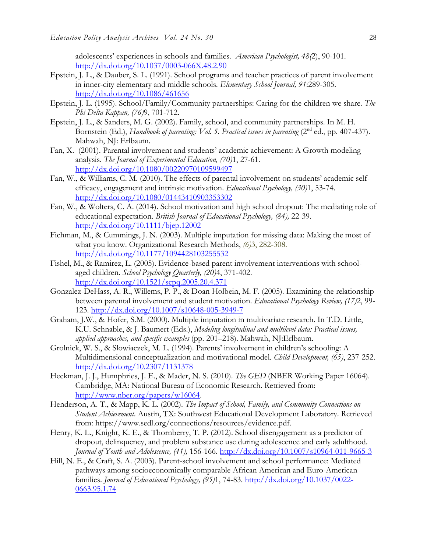adolescents' experiences in schools and families. *American Psychologist, 48(*2), 90-101. <http://dx.doi.org/10.1037/0003-066X.48.2.90>

- Epstein, J. L., & Dauber, S. L. (1991). School programs and teacher practices of parent involvement in inner-city elementary and middle schools. *Elementary School Journal, 91*:289-305. <http://dx.doi.org/10.1086/461656>
- Epstein, J. L. (1995). School/Family/Community partnerships: Caring for the children we share. *The Phi Delta Kappan, (76)*9, 701-712.
- Epstein, J. L., & Sanders, M. G. (2002). Family, school, and community partnerships. In M. H. Bornstein (Ed.), *Handbook of parenting: Vol. 5. Practical issues in parenting* (2nd ed., pp. 407-437). Mahwah, NJ: Erlbaum.
- Fan, X. (2001). Parental involvement and students' academic achievement: A Growth modeling analysis. *The Journal of Experimental Education, (70)*1, 27-61. <http://dx.doi.org/10.1080/00220970109599497>
- Fan, W., & Williams, C. M. (2010). The effects of parental involvement on students' academic selfefficacy, engagement and intrinsic motivation. *Educational Psychology, (30)*1, 53-74. <http://dx.doi.org/10.1080/01443410903353302>
- Fan, W., & Wolters, C. A. (2014). School motivation and high school dropout: The mediating role of educational expectation. *British Journal of Educational Psychology, (84),* 22-39. <http://dx.doi.org/10.1111/bjep.12002>
- Fichman, M., & Cummings, J. N. (2003). Multiple imputation for missing data: Making the most of what you know. Organizational Research Methods, *(6)*3, 282-308. <http://dx.doi.org/10.1177/1094428103255532>
- Fishel, M., & Ramirez, L. (2005). Evidence-based parent involvement interventions with schoolaged children. *School Psychology Quarterly, (20)*4, 371-402. <http://dx.doi.org/10.1521/scpq.2005.20.4.371>
- Gonzalez-DeHass, A. R., Willems, P. P., & Doan Holbein, M. F. (2005). Examining the relationship between parental involvement and student motivation. *Educational Psychology Review, (17)*2, 99- 123.<http://dx.doi.org/10.1007/s10648-005-3949-7>
- Graham, J.W., & Hofer, S.M. (2000). Multiple imputation in multivariate research. In T.D. Little, K.U. Schnable, & J. Baumert (Eds.), *Modeling longitudinal and multilevel data: Practical issues, applied approaches, and specific examples* (pp. 201–218). Mahwah, NJ:Erlbaum.
- Grolnick, W. S., & Slowiaczek, M. L. (1994). Parents' involvement in children's schooling: A Multidimensional conceptualization and motivational model. *Child Development, (65)*, 237-252. <http://dx.doi.org/10.2307/1131378>
- Heckman, J. J., Humphries, J. E., & Mader, N. S. (2010). *The GED* (NBER Working Paper 16064). Cambridge, MA: National Bureau of Economic Research. Retrieved from: [http://www.nber.org/papers/w16064.](http://www.nber.org/papers/w16064)
- Henderson, A. T., & Mapp, K. L. (2002). *The Impact of School, Family, and Community Connections on Student Achievement*. Austin, TX: Southwest Educational Development Laboratory. Retrieved from: https://www.sedl.org/connections/resources/evidence.pdf.
- Henry, K. L., Knight, K. E., & Thornberry, T. P. (2012). School disengagement as a predictor of dropout, delinquency, and problem substance use during adolescence and early adulthood. *Journal of Youth and Adolescence, (41),* 156-166.<http://dx.doi.org/10.1007/s10964-011-9665-3>
- Hill, N. E., & Craft, S. A. (2003). Parent-school involvement and school performance: Mediated pathways among socioeconomically comparable African American and Euro-American families. *Journal of Educational Psychology, (95)*1, 74-83. [http://dx.doi.org/10.1037/0022-](http://dx.doi.org/10.1037/0022-0663.95.1.74) [0663.95.1.74](http://dx.doi.org/10.1037/0022-0663.95.1.74)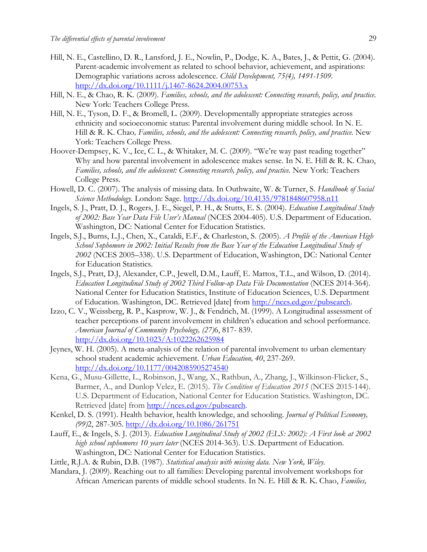- Hill, N. E., Castellino, D. R., Lansford, J. E., Nowlin, P., Dodge, K. A., Bates, J., & Pettit, G. (2004). Parent-academic involvement as related to school behavior, achievement, and aspirations: Demographic variations across adolescence. *Child Development, 75(4), 1491-1509.* <http://dx.doi.org/10.1111/j.1467-8624.2004.00753.x>
- Hill, N. E., & Chao, R. K. (2009). *Families, schools, and the adolescent: Connecting research, policy, and practice.*  New York: Teachers College Press*.*
- Hill, N. E., Tyson, D. F., & Bromell, L. (2009). Developmentally appropriate strategies across ethnicity and socioeconomic status: Parental involvement during middle school. In N. E. Hill & R. K. Chao, Families, schools, and the adolescent: Connecting research, policy, and practice. New York: Teachers College Press.
- Hoover-Dempsey, K. V., Ice, C. L., & Whitaker, M. C. (2009). "We're way past reading together" Why and how parental involvement in adolescence makes sense. In N. E. Hill & R. K. Chao, *Families, schools, and the adolescent: Connecting research, policy, and practice.* New York: Teachers College Press.
- Howell, D. C. (2007). The analysis of missing data. In Outhwaite, W. & Turner, S. *Handbook of Social Science Methodology.* London: Sage. <http://dx.doi.org/10.4135/9781848607958.n11>
- Ingels, S. J., Pratt, D. J., Rogers, J. E., Siegel, P. H., & Stutts, E. S. (2004). *Education Longitudinal Study of 2002: Base Year Data File User's Manual* (NCES 2004-405). U.S. Department of Education. Washington, DC: National Center for Education Statistics.
- Ingels, S.J., Burns, L.J., Chen, X., Cataldi, E.F., & Charleston, S. (2005). *A Profile of the American High School Sophomore in 2002: Initial Results from the Base Year of the Education Longitudinal Study of 2002* (NCES 2005–338). U.S. Department of Education, Washington, DC: National Center for Education Statistics.
- Ingels, S.J., Pratt, D.J, Alexander, C.P., Jewell, D.M., Lauff, E. Mattox, T.L., and Wilson, D. (2014). *Education Longitudinal Study of 2002 Third Follow-up Data File Documentation* (NCES 2014-364). National Center for Education Statistics, Institute of Education Sciences, U.S. Department of Education. Washington, DC. Retrieved [date] from [http://nces.ed.gov/pubsearch.](http://nces.ed.gov/pubsearch)
- Izzo, C. V., Weissberg, R. P., Kasprow, W. J., & Fendrich, M. (1999). A Longitudinal assessment of teacher perceptions of parent involvement in children's education and school performance. *American Journal of Community Psychology, (27)*6, 817- 839. <http://dx.doi.org/10.1023/A:1022262625984>
- Jeynes, W. H. (2005). A meta-analysis of the relation of parental involvement to urban elementary school student academic achievement. *Urban Education, 40*, 237-269. <http://dx.doi.org/10.1177/0042085905274540>
- Kena, G., Musu-Gillette, L., Robinson, J., Wang, X., Rathbun, A., Zhang, J., Wilkinson-Flicker, S., Barmer, A., and Dunlop Velez, E. (2015). *The Condition of Education 2015* (NCES 2015-144). U.S. Department of Education, National Center for Education Statistics. Washington, DC. Retrieved [date] from [http://nces.ed.gov/pubsearch.](http://nces.ed.gov/pubsearch)
- Kenkel, D. S. (1991). Health behavior, health knowledge, and schooling. *Journal of Political Economy, (99)*2, 287-305.<http://dx.doi.org/10.1086/261751>
- Lauff, E., & Ingels, S. J. (2013). *Education Longitudinal Study of 2002 (ELS: 2002): A First look at 2002 high school sophomores 10 years later* (NCES 2014-363). U.S. Department of Education. Washington, DC: National Center for Education Statistics.
- Little, R.J.A. & Rubin, D.B. (1987). *Statistical analysis with missing data. New York, Wiley.*
- Mandara, J. (2009). Reaching out to all families: Developing parental involvement workshops for African American parents of middle school students. In N. E. Hill & R. K. Chao, *Families,*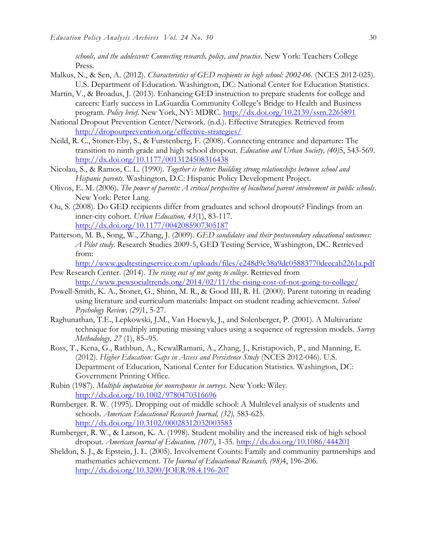schools, and the adolescent: Connecting research, policy, and practice. New York: Teachers College Press.

- Malkus, N., & Sen, A. (2012). *Characteristics of GED recipients in high school: 2002-06.* (NCES 2012-025). U.S. Department of Education. Washington, DC: National Center for Education Statistics.
- Martin, V., & Broadus, J. (2013). Enhancing GED instruction to prepare students for college and careers: Early success in LaGuardia Community College's Bridge to Health and Business program. *Policy brief*. New York, NY: MDRC.<http://dx.doi.org/10.2139/ssrn.2265891>
- National Dropout Prevention Center/Network. (n.d.). Effective Strategies. Retrieved from <http://dropoutprevention.org/effective-strategies/>
- Neild, R. C., Stoner-Eby, S., & Furstenberg, F. (2008). Connecting entrance and departure: The transition to ninth grade and high school dropout. *Education and Urban Society, (40)*5, 543-569. <http://dx.doi.org/10.1177/0013124508316438>
- Nicolau, S., & Ramos, C. L. (1990). *Together is better: Building strong relationships between school and Hispanic parents.* Washington, D.C: Hispanic Policy Development Project.
- Olivos, E. M. (2006). *The power of parents: A critical perspective of bicultural parent involvement in public schools*. New York: Peter Lang.
- Ou, S. (2008). Do GED recipients differ from graduates and school dropouts? Findings from an inner-city cohort. *Urban Education, 43*(1), 83-117. <http://dx.doi.org/10.1177/0042085907305187>
- Patterson, M. B., Song, W., Zhang, J. (2009). *GED candidates and their postsecondary educational outcomes: A Pilot study*. Research Studies 2009-5, GED Testing Service, Washington, DC. Retrieved from:

<http://www.gedtestingservice.com/uploads/files/e248d9c38a9dc05883770deecab2261a.pdf>

- Pew Research Center. (2014). *The rising cost of not going to college*. Retrieved from <http://www.pewsocialtrends.org/2014/02/11/the-rising-cost-of-not-going-to-college/>
- Powell-Smith, K. A., Stoner, G., Shinn, M. R., & Good III, R. H. (2000). Parent tutoring in reading using literature and curriculum materials: Impact on student reading achievement. *School Psychology Review, (29)*1, 5-27.
- Raghunathan, T.E., Lepkowski, J.M., Van Hoewyk, J., and Solenberger, P. (2001). A Multivariate technique for multiply imputing missing values using a sequence of regression models. *Survey Methodology, 27* (1), 85–95.
- Ross, T., Kena, G., Rathbun, A., KewalRamani, A., Zhang, J., Kristapovich, P., and Manning, E. (2012). *Higher Education: Gaps in Access and Persistence Study* (NCES 2012-046). U.S. Department of Education, National Center for Education Statistics. Washington, DC: Government Printing Office.
- Rubin (1987). *Multiple imputation for nonresponse in surveys.* New York: Wiley. <http://dx.doi.org/10.1002/9780470316696>
- Rumberger. R. W. (1995). Dropping out of middle school: A Multilevel analysis of students and schools. *American Educational Research Journal, (32),* 583-625. <http://dx.doi.org/10.3102/00028312032003583>
- Rumberger, R. W., & Larson, K. A. (1998). Student mobility and the increased risk of high school dropout. *American Journal of Education, (107)*, 1-35.<http://dx.doi.org/10.1086/444201>
- Sheldon, S. J., & Epstein, J. L. (2005). Involvement Counts: Family and community partnerships and mathematics achievement. *The Journal of Educational Research, (98)*4, 196-206. <http://dx.doi.org/10.3200/JOER.98.4.196-207>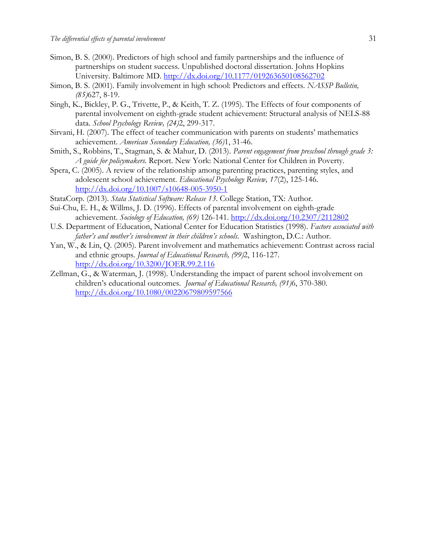- Simon, B. S. (2000). Predictors of high school and family partnerships and the influence of partnerships on student success. Unpublished doctoral dissertation. Johns Hopkins University. Baltimore MD.<http://dx.doi.org/10.1177/019263650108562702>
- Simon, B. S. (2001). Family involvement in high school: Predictors and effects. *NASSP Bulletin, (85)*627, 8-19.
- Singh, K., Bickley, P. G., Trivette, P., & Keith, T. Z. (1995). The Effects of four components of parental involvement on eighth-grade student achievement: Structural analysis of NELS-88 data. *School Psychology Review, (24)*2, 299-317.
- Sirvani, H. (2007). The effect of teacher communication with parents on students' mathematics achievement. *American Secondary Education, (36)*1, 31-46.
- Smith, S., Robbins, T., Stagman, S. & Mahur, D. (2013). *Parent engagement from preschool through grade 3: A guide for policymakers.* Report. New York: National Center for Children in Poverty.
- Spera, C. (2005). A review of the relationship among parenting practices, parenting styles, and adolescent school achievement. *Educational Psychology Review, 17*(2), 125-146. <http://dx.doi.org/10.1007/s10648-005-3950-1>
- StataCorp. (2013). *Stata Statistical Software: Release 13*. College Station, TX: Author.
- Sui-Chu, E. H., & Willms, J. D. (1996). Effects of parental involvement on eighth-grade achievement. *Sociology of Education, (69)* 126-141.<http://dx.doi.org/10.2307/2112802>
- U.S. Department of Education, National Center for Education Statistics (1998). *Factors associated with father's and mother's involvement in their children's schools*. Washington, D.C.: Author.
- Yan, W., & Lin, Q. (2005). Parent involvement and mathematics achievement: Contrast across racial and ethnic groups. *Journal of Educational Research, (99)*2, 116-127. <http://dx.doi.org/10.3200/JOER.99.2.116>
- Zellman, G., & Waterman, J. (1998). Understanding the impact of parent school involvement on children's educational outcomes. *Journal of Educational Research, (91)*6, 370-380. <http://dx.doi.org/10.1080/00220679809597566>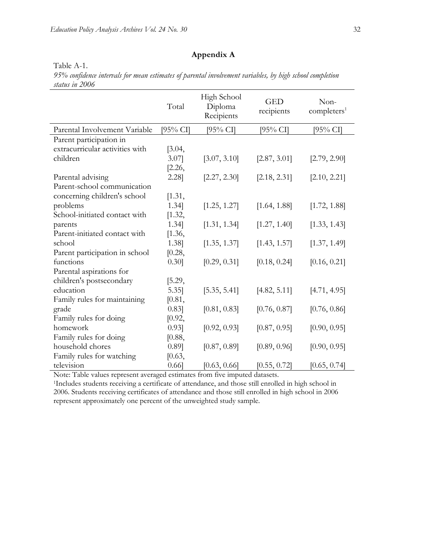Table A-1.

## **Appendix A**

|                                 | Total    | High School<br>Diploma<br>Recipients | <b>GED</b><br>recipients | Non-<br>complexers <sup>1</sup> |
|---------------------------------|----------|--------------------------------------|--------------------------|---------------------------------|
| Parental Involvement Variable   | [95% CI] | $[95\% \text{ CI}]$                  | [95% CI]                 | [95% СП                         |
| Parent participation in         |          |                                      |                          |                                 |
| extracurricular activities with | [3.04,   |                                      |                          |                                 |
| children                        | 3.07     | [3.07, 3.10]                         | [2.87, 3.01]             | [2.79, 2.90]                    |
|                                 | [2.26,   |                                      |                          |                                 |
| Parental advising               | 2.28]    | [2.27, 2.30]                         | [2.18, 2.31]             | [2.10, 2.21]                    |
| Parent-school communication     |          |                                      |                          |                                 |
| concerning children's school    | [1.31,   |                                      |                          |                                 |
| problems                        | 1.34]    | [1.25, 1.27]                         | [1.64, 1.88]             | [1.72, 1.88]                    |
| School-initiated contact with   | [1.32,   |                                      |                          |                                 |
| parents                         | 1.34]    | [1.31, 1.34]                         | [1.27, 1.40]             | [1.33, 1.43]                    |
| Parent-initiated contact with   | [1.36,   |                                      |                          |                                 |
| school                          | 1.38]    | [1.35, 1.37]                         | [1.43, 1.57]             | [1.37, 1.49]                    |
| Parent participation in school  | [0.28,   |                                      |                          |                                 |
| functions                       | $0.30$ ] | [0.29, 0.31]                         | [0.18, 0.24]             | [0.16, 0.21]                    |
| Parental aspirations for        |          |                                      |                          |                                 |
| children's postsecondary        | [5.29,   |                                      |                          |                                 |
| education                       | $5.35$ ] | [5.35, 5.41]                         | [4.82, 5.11]             | [4.71, 4.95]                    |
| Family rules for maintaining    | [0.81,   |                                      |                          |                                 |
| grade                           | 0.83]    | [0.81, 0.83]                         | [0.76, 0.87]             | [0.76, 0.86]                    |
| Family rules for doing          | [0.92,   |                                      |                          |                                 |
| homework                        | 0.93]    | [0.92, 0.93]                         | [0.87, 0.95]             | [0.90, 0.95]                    |
| Family rules for doing          | [0.88,   |                                      |                          |                                 |
| household chores                | 0.89]    | [0.87, 0.89]                         | [0.89, 0.96]             | [0.90, 0.95]                    |
| Family rules for watching       | [0.63,   |                                      |                          |                                 |
| television                      | $0.66$ ] | [0.63, 0.66]                         | [0.55, 0.72]             | [0.65, 0.74]                    |

*95% confidence intervals for mean estimates of parental involvement variables, by high school completion status in 2006*

Note: Table values represent averaged estimates from five imputed datasets.

<sup>1</sup>Includes students receiving a certificate of attendance, and those still enrolled in high school in 2006. Students receiving certificates of attendance and those still enrolled in high school in 2006 represent approximately one percent of the unweighted study sample.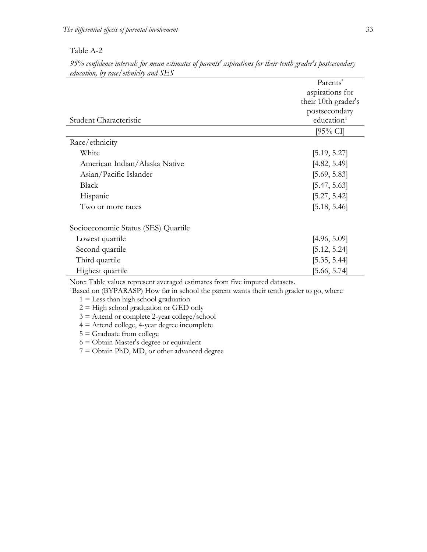#### Table A-2

|                                     | Parents'               |
|-------------------------------------|------------------------|
|                                     | aspirations for        |
|                                     | their 10th grader's    |
|                                     | postsecondary          |
| Student Characteristic              | education <sup>1</sup> |
|                                     | [95% CI]               |
| Race/ethnicity                      |                        |
| White                               | [5.19, 5.27]           |
| American Indian/Alaska Native       | [4.82, 5.49]           |
| Asian/Pacific Islander              | [5.69, 5.83]           |
| Black                               | [5.47, 5.63]           |
| Hispanic                            | [5.27, 5.42]           |
| Two or more races                   | [5.18, 5.46]           |
| Socioeconomic Status (SES) Quartile |                        |
| Lowest quartile                     | [4.96, 5.09]           |
| Second quartile                     | [5.12, 5.24]           |
| Third quartile                      | [5.35, 5.44]           |
| Highest quartile                    | [5.66, 5.74]           |

*95% confidence intervals for mean estimates of parents' aspirations for their tenth grader's postsecondary education, by race/ethnicity and SES*

Note: Table values represent averaged estimates from five imputed datasets.

<sup>1</sup>Based on (BYPARASP) How far in school the parent wants their tenth grader to go, where

 $1 =$  Less than high school graduation

 $2 =$  High school graduation or GED only

3 = Attend or complete 2-year college/school

4 = Attend college, 4-year degree incomplete

5 = Graduate from college

6 = Obtain Master's degree or equivalent

7 = Obtain PhD, MD, or other advanced degree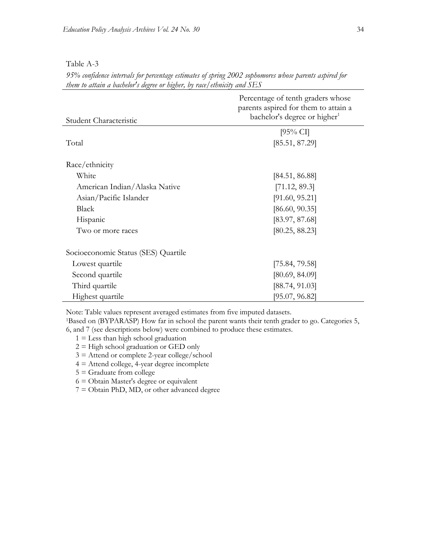| Table A-3 |  |
|-----------|--|
|-----------|--|

*95% confidence intervals for percentage estimates of spring 2002 sophomores whose parents aspired for them to attain a bachelor's degree or higher, by race/ethnicity and SES*

| Student Characteristic              | Percentage of tenth graders whose<br>parents aspired for them to attain a<br>bachelor's degree or higher <sup>1</sup> |  |  |
|-------------------------------------|-----------------------------------------------------------------------------------------------------------------------|--|--|
|                                     | $[95\% \text{ CI}]$                                                                                                   |  |  |
| Total                               | [85.51, 87.29]                                                                                                        |  |  |
| Race/ethnicity                      |                                                                                                                       |  |  |
| White                               | [84.51, 86.88]                                                                                                        |  |  |
| American Indian/Alaska Native       | [71.12, 89.3]                                                                                                         |  |  |
| Asian/Pacific Islander              | [91.60, 95.21]                                                                                                        |  |  |
| <b>Black</b>                        | [86.60, 90.35]                                                                                                        |  |  |
| Hispanic                            | [83.97, 87.68]                                                                                                        |  |  |
| Two or more races                   | [80.25, 88.23]                                                                                                        |  |  |
| Socioeconomic Status (SES) Quartile |                                                                                                                       |  |  |
| Lowest quartile                     | [75.84, 79.58]                                                                                                        |  |  |
| Second quartile                     | [80.69, 84.09]                                                                                                        |  |  |
| Third quartile                      | [88.74, 91.03]                                                                                                        |  |  |
| Highest quartile                    | [95.07, 96.82]                                                                                                        |  |  |

Note: Table values represent averaged estimates from five imputed datasets.

<sup>1</sup>Based on (BYPARASP) How far in school the parent wants their tenth grader to go. Categories 5, 6, and 7 (see descriptions below) were combined to produce these estimates.

- $1 =$  Less than high school graduation
- $2 =$  High school graduation or GED only
- 3 = Attend or complete 2-year college/school
- 4 = Attend college, 4-year degree incomplete
- $5 =$  Graduate from college
- 6 = Obtain Master's degree or equivalent
- 7 = Obtain PhD, MD, or other advanced degree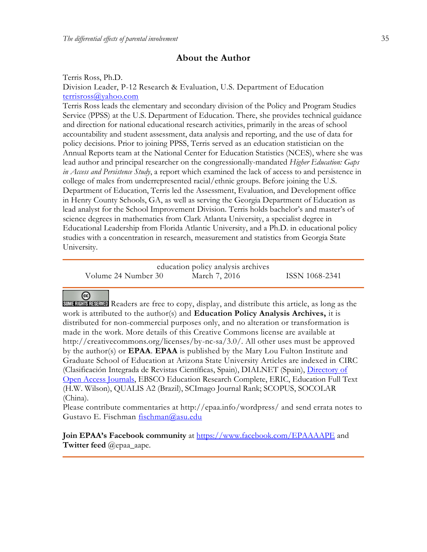## **About the Author**

Terris Ross, Ph.D.

Division Leader, P-12 Research & Evaluation, U.S. Department of Education [terrisross@yahoo.com](mailto:terrisross@yahoo.com)

Terris Ross leads the elementary and secondary division of the Policy and Program Studies Service (PPSS) at the U.S. Department of Education. There, she provides technical guidance and direction for national educational research activities, primarily in the areas of school accountability and student assessment, data analysis and reporting, and the use of data for policy decisions. Prior to joining PPSS, Terris served as an education statistician on the Annual Reports team at the National Center for Education Statistics (NCES), where she was lead author and principal researcher on the congressionally-mandated *Higher Education: Gaps in Access and Persistence Study*, a report which examined the lack of access to and persistence in college of males from underrepresented racial/ethnic groups. Before joining the U.S. Department of Education, Terris led the Assessment, Evaluation, and Development office in Henry County Schools, GA, as well as serving the Georgia Department of Education as lead analyst for the School Improvement Division. Terris holds bachelor's and master's of science degrees in mathematics from Clark Atlanta University, a specialist degree in Educational Leadership from Florida Atlantic University, and a Ph.D. in educational policy studies with a concentration in research, measurement and statistics from Georgia State University.

|                     | education policy analysis archives |                |
|---------------------|------------------------------------|----------------|
| Volume 24 Number 30 | March 7, 2016                      | ISSN 1068-2341 |

## $\left($

Readers are free to copy, display, and distribute this article, as long as the work is attributed to the author(s) and **Education Policy Analysis Archives,** it is distributed for non-commercial purposes only, and no alteration or transformation is made in the work. More details of this Creative Commons license are available at http://creativecommons.org/licenses/by-nc-sa/3.0/. All other uses must be approved by the author(s) or **EPAA**. **EPAA** is published by the Mary Lou Fulton Institute and Graduate School of Education at Arizona State University Articles are indexed in CIRC (Clasificación Integrada de Revistas Científicas, Spain), DIALNET (Spain), [Directory of](http://www.doaj.org/)  [Open Access Journals,](http://www.doaj.org/) EBSCO Education Research Complete, ERIC, Education Full Text (H.W. Wilson), QUALIS A2 (Brazil), SCImago Journal Rank; SCOPUS, SOCOLAR (China).

Please contribute commentaries at http://epaa.info/wordpress/ and send errata notes to Gustavo E. Fischman fischman@asu.edu

**Join EPAA's Facebook community** at<https://www.facebook.com/EPAAAAPE> and **Twitter feed** @epaa\_aape.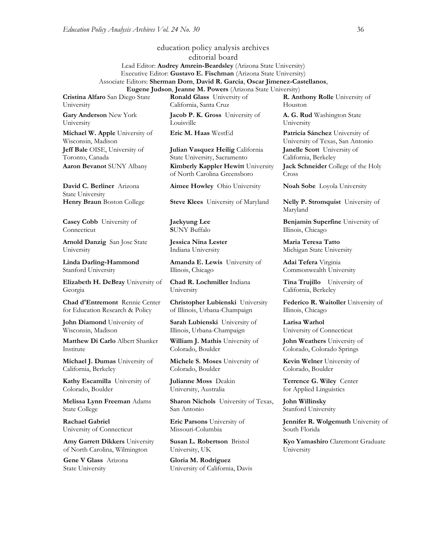#### education policy analysis archives editorial board Lead Editor: **Audrey Amrein-Beardsley** (Arizona State University) Executive Editor: **Gustavo E. Fischman** (Arizona State University) Associate Editors: **Sherman Dorn**, **David R. Garcia**, **Oscar Jimenez-Castellanos**,

**Cristina Alfaro** San Diego State University

**Gary Anderson** New York University

**Michael W. Apple** University of Wisconsin, Madison **Jeff Bale** OISE, University of Toronto, Canada

**David C. Berliner** Arizona State University

**Casey Cobb** University of Connecticut

**Arnold Danzig** San Jose State University

**Linda Darling-Hammond**  Stanford University

**Elizabeth H. DeBray** University of Georgia

**Chad d'Entremont** Rennie Center for Education Research & Policy

**John Diamond** University of Wisconsin, Madison

**Matthew Di Carlo** Albert Shanker Institute

**Michael J. Dumas** University of California, Berkeley

**Kathy Escamilla** University of Colorado, Boulder

**Melissa Lynn Freeman** Adams State College

**Rachael Gabriel** University of Connecticut

**Amy Garrett Dikkers** University of North Carolina, Wilmington

**Gene V Glass** Arizona State University

**Ronald Glass** University of California, Santa Cruz

**Eugene Judson**, **Jeanne M. Powers** (Arizona State University)

**Jacob P. K. Gross** University of Louisville

**Julian Vasquez Heilig** California State University, Sacramento **Aaron Bevanot** SUNY Albany **Kimberly Kappler Hewitt** University of North Carolina Greensboro

**Aimee Howley** Ohio University **Noah Sobe** Loyola University

**Jaekyung Lee S**UNY Buffalo

**Jessica Nina Lester** Indiana University

**Amanda E. Lewis** University of Illinois, Chicago

**Chad R. Lochmiller** Indiana University

**Christopher Lubienski** University of Illinois, Urbana-Champaign

**Sarah Lubienski** University of Illinois, Urbana-Champaign

**William J. Mathis** University of Colorado, Boulder

**Michele S. Moses** University of Colorado, Boulder

**Julianne Moss** Deakin University, Australia

**Sharon Nichols** University of Texas, San Antonio

**Eric Parsons** University of Missouri-Columbia

**Susan L. Robertson** Bristol University, UK

**Gloria M. Rodriguez** University of California, Davis **R. Anthony Rolle** University of Houston

**A. G. Rud** Washington State University

**Eric M. Haas** WestEd **Patricia Sánchez** University of University of Texas, San Antonio **Janelle Scott** University of California, Berkeley **Jack Schneider** College of the Holy Cross

**Henry Braun** Boston College **Steve Klees** University of Maryland **Nelly P. Stromquist** University of Maryland

> **Benjamin Superfine** University of Illinois, Chicago

**Maria Teresa Tatto**  Michigan State University

**Adai Tefera** Virginia Commonwealth University

**Tina Trujillo** University of California, Berkeley

**Federico R. Waitoller** University of Illinois, Chicago

**Larisa Warhol** University of Connecticut

**John Weathers** University of Colorado, Colorado Springs

**Kevin Welner** University of Colorado, Boulder

**Terrence G. Wiley** Center for Applied Linguistics

**John Willinsky**  Stanford University

**Jennifer R. Wolgemuth University of** South Florida

**Kyo Yamashiro** Claremont Graduate University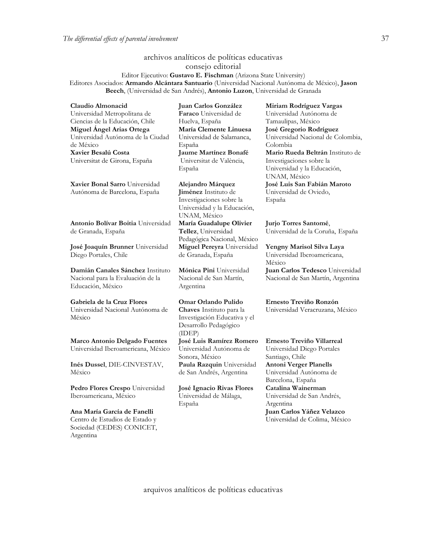## archivos analíticos de políticas educativas consejo editorial

Editor Ejecutivo: **Gustavo E. Fischman** (Arizona State University) Editores Asociados: **Armando Alcántara Santuario** (Universidad Nacional Autónoma de México), **Jason Beech**, (Universidad de San Andrés), **Antonio Luzon**, Universidad de Granada

**Claudio Almonacid** Universidad Metropolitana de Ciencias de la Educación, Chile **Miguel Ángel Arias Ortega**  Universidad Autónoma de la Ciudad de México **Xavier Besalú Costa**  Universitat de Girona, España

**[Xavier Bonal](javascript:openRTWindow() Sarro** Universidad Autónoma de Barcelona, España

**[Antonio Bolívar](javascript:openRTWindow() Boitia** Universidad de Granada, España

**[José Joaquín Brunner](javascript:openRTWindow()** Universidad Diego Portales, Chile

**[Damián Canales Sánchez](javascript:openRTWindow()** Instituto Nacional para la Evaluación de la Educación, México

**Gabriela de la Cruz Flores** Universidad Nacional Autónoma de México

**[Marco Antonio Delgado Fuentes](javascript:openRTWindow()** Universidad Iberoamericana, México

**[Inés Dussel](javascript:openRTWindow()**, DIE-CINVESTAV, México

**[Pedro Flores Crespo](javascript:openRTWindow()** Universidad Iberoamericana, México

**Ana María García de Fanelli**  Centro de Estudios de Estado y Sociedad (CEDES) CONICET, Argentina

**Juan Carlos González Faraco** Universidad de Huelva, España **María Clemente Linuesa**  Universidad de Salamanca, España **Jaume Martínez Bonafé** Universitat de València, España

**Alejandro Márquez Jiménez** Instituto de Investigaciones sobre la Universidad y la Educación, UNAM, México **María Guadalupe Olivier Tellez**, Universidad Pedagógica Nacional, México **[Miguel Pereyra](javascript:openRTWindow()** Universidad de Granada, España

**[Mónica Pini](javascript:openRTWindow()** Universidad Nacional de San Martín, Argentina

**Omar Orlando Pulido Chaves** Instituto para la Investigación Educativa y el Desarrollo Pedagógico (IDEP) **[José Luis Ramírez](javascript:openRTWindow() Romero** Universidad Autónoma de Sonora, México

**[Paula Razquin](javascript:openRTWindow()** Universidad de San Andrés, Argentina

**José Ignacio Rivas Flores** Universidad de Málaga, España

**[Miriam Rodríguez Vargas](javascript:openRTWindow()** Universidad Autónoma de Tamaulipas, México **José Gregorio Rodríguez**  Universidad Nacional de Colombia, Colombia **[Mario Rueda Beltrán](javascript:openRTWindow()** Instituto de Investigaciones sobre la Universidad y la Educación, UNAM, México **José Luis San Fabián Maroto**  Universidad de Oviedo, España

**[Jurjo Torres Santomé](javascript:openRTWindow()**, Universidad de la Coruña, España

**[Yengny Marisol Silva Laya](javascript:openRTWindow()** Universidad Iberoamericana, México

**Juan Carlos Tedesco** Universidad Nacional de San Martín, Argentina

**Ernesto Treviño Ronzón**

Universidad Veracruzana, México

**[Ernesto Treviño](javascript:openRTWindow() Villarreal** Universidad Diego Portales Santiago, Chile **[Antoni Verger Planells](javascript:openRTWindow()** Universidad Autónoma de Barcelona, España **[Catalina Wainerman](javascript:openRTWindow()** Universidad de San Andrés, Argentina **Juan Carlos Yáñez Velazco** Universidad de Colima, México

arquivos analíticos de políticas educativas